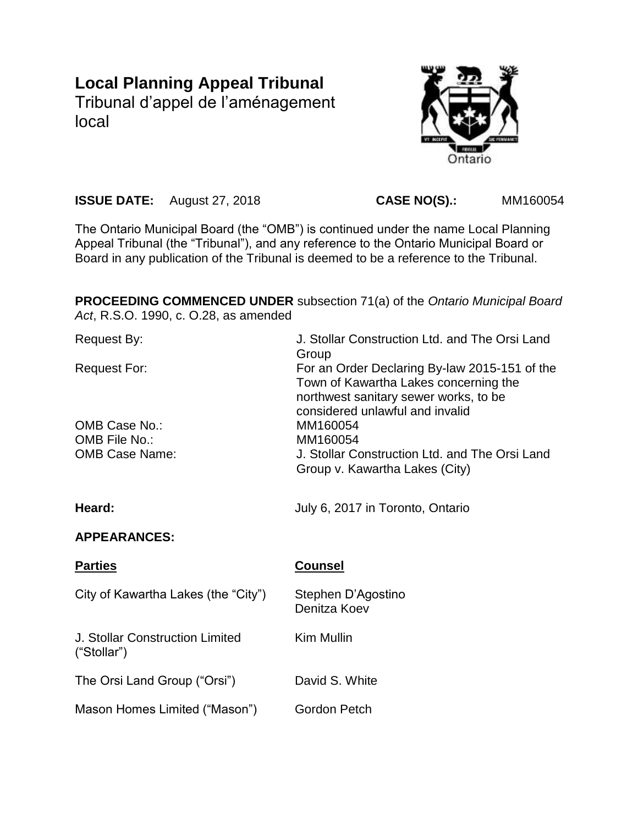# **Local Planning Appeal Tribunal**

Tribunal d'appel de l'aménagement local



**ISSUE DATE:** August 27, 2018 **CASE NO(S).:** MM160054

The Ontario Municipal Board (the "OMB") is continued under the name Local Planning Appeal Tribunal (the "Tribunal"), and any reference to the Ontario Municipal Board or Board in any publication of the Tribunal is deemed to be a reference to the Tribunal.

**PROCEEDING COMMENCED UNDER** subsection 71(a) of the *Ontario Municipal Board Act*, R.S.O. 1990, c. O.28, as amended

| <b>Request By:</b>                             | J. Stollar Construction Ltd. and The Orsi Land<br>Group                                                                                                            |
|------------------------------------------------|--------------------------------------------------------------------------------------------------------------------------------------------------------------------|
| <b>Request For:</b>                            | For an Order Declaring By-law 2015-151 of the<br>Town of Kawartha Lakes concerning the<br>northwest sanitary sewer works, to be<br>considered unlawful and invalid |
| OMB Case No.:                                  | MM160054                                                                                                                                                           |
| OMB File No.:                                  | MM160054                                                                                                                                                           |
| <b>OMB Case Name:</b>                          | J. Stollar Construction Ltd. and The Orsi Land<br>Group v. Kawartha Lakes (City)                                                                                   |
| Heard:                                         | July 6, 2017 in Toronto, Ontario                                                                                                                                   |
| <b>APPEARANCES:</b>                            |                                                                                                                                                                    |
|                                                |                                                                                                                                                                    |
| <b>Parties</b>                                 | <b>Counsel</b>                                                                                                                                                     |
| City of Kawartha Lakes (the "City")            | Stephen D'Agostino<br>Denitza Koev                                                                                                                                 |
| J. Stollar Construction Limited<br>("Stollar") | <b>Kim Mullin</b>                                                                                                                                                  |
| The Orsi Land Group ("Orsi")                   | David S. White                                                                                                                                                     |
| Mason Homes Limited ("Mason")                  | Gordon Petch                                                                                                                                                       |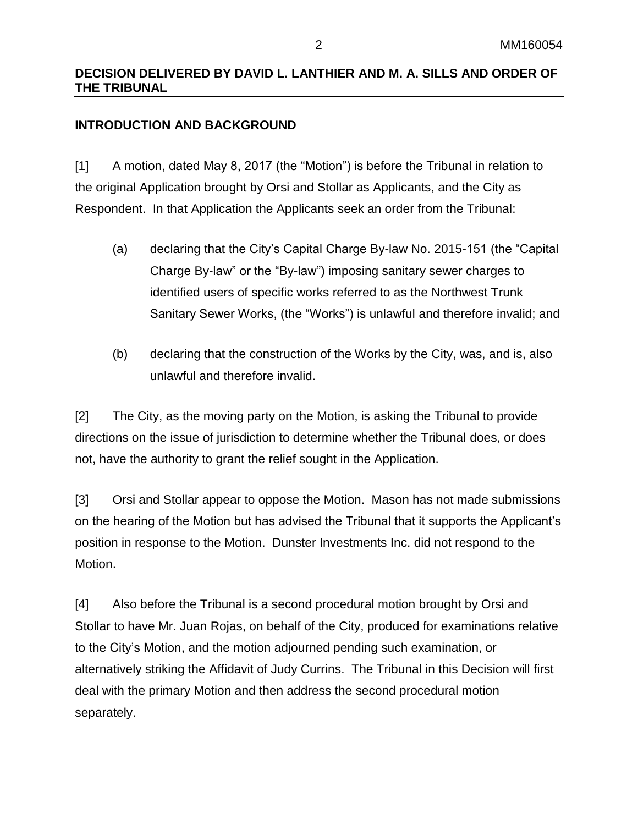### **DECISION DELIVERED BY DAVID L. LANTHIER AND M. A. SILLS AND ORDER OF THE TRIBUNAL**

### **INTRODUCTION AND BACKGROUND**

[1] A motion, dated May 8, 2017 (the "Motion") is before the Tribunal in relation to the original Application brought by Orsi and Stollar as Applicants, and the City as Respondent. In that Application the Applicants seek an order from the Tribunal:

- (a) declaring that the City's Capital Charge By-law No. 2015-151 (the "Capital Charge By-law" or the "By-law") imposing sanitary sewer charges to identified users of specific works referred to as the Northwest Trunk Sanitary Sewer Works, (the "Works") is unlawful and therefore invalid; and
- (b) declaring that the construction of the Works by the City, was, and is, also unlawful and therefore invalid.

[2] The City, as the moving party on the Motion, is asking the Tribunal to provide directions on the issue of jurisdiction to determine whether the Tribunal does, or does not, have the authority to grant the relief sought in the Application.

[3] Orsi and Stollar appear to oppose the Motion. Mason has not made submissions on the hearing of the Motion but has advised the Tribunal that it supports the Applicant's position in response to the Motion. Dunster Investments Inc. did not respond to the Motion.

[4] Also before the Tribunal is a second procedural motion brought by Orsi and Stollar to have Mr. Juan Rojas, on behalf of the City, produced for examinations relative to the City's Motion, and the motion adjourned pending such examination, or alternatively striking the Affidavit of Judy Currins. The Tribunal in this Decision will first deal with the primary Motion and then address the second procedural motion separately.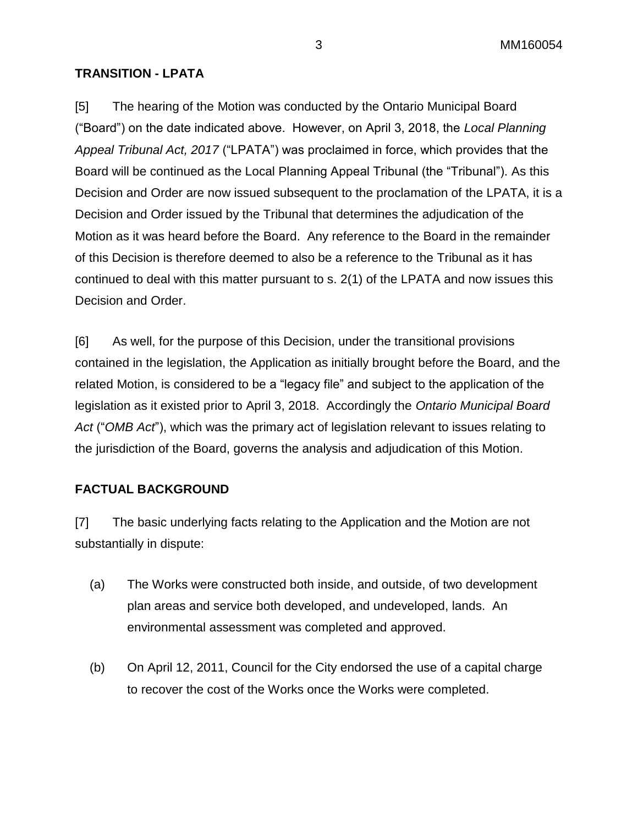### **TRANSITION - LPATA**

[5] The hearing of the Motion was conducted by the Ontario Municipal Board ("Board") on the date indicated above. However, on April 3, 2018, the *Local Planning Appeal Tribunal Act, 2017* ("LPATA") was proclaimed in force, which provides that the Board will be continued as the Local Planning Appeal Tribunal (the "Tribunal"). As this Decision and Order are now issued subsequent to the proclamation of the LPATA, it is a Decision and Order issued by the Tribunal that determines the adjudication of the Motion as it was heard before the Board. Any reference to the Board in the remainder of this Decision is therefore deemed to also be a reference to the Tribunal as it has continued to deal with this matter pursuant to s. 2(1) of the LPATA and now issues this Decision and Order.

[6] As well, for the purpose of this Decision, under the transitional provisions contained in the legislation, the Application as initially brought before the Board, and the related Motion, is considered to be a "legacy file" and subject to the application of the legislation as it existed prior to April 3, 2018. Accordingly the *Ontario Municipal Board Act* ("*OMB Act*"), which was the primary act of legislation relevant to issues relating to the jurisdiction of the Board, governs the analysis and adjudication of this Motion.

### **FACTUAL BACKGROUND**

[7] The basic underlying facts relating to the Application and the Motion are not substantially in dispute:

- (a) The Works were constructed both inside, and outside, of two development plan areas and service both developed, and undeveloped, lands. An environmental assessment was completed and approved.
- (b) On April 12, 2011, Council for the City endorsed the use of a capital charge to recover the cost of the Works once the Works were completed.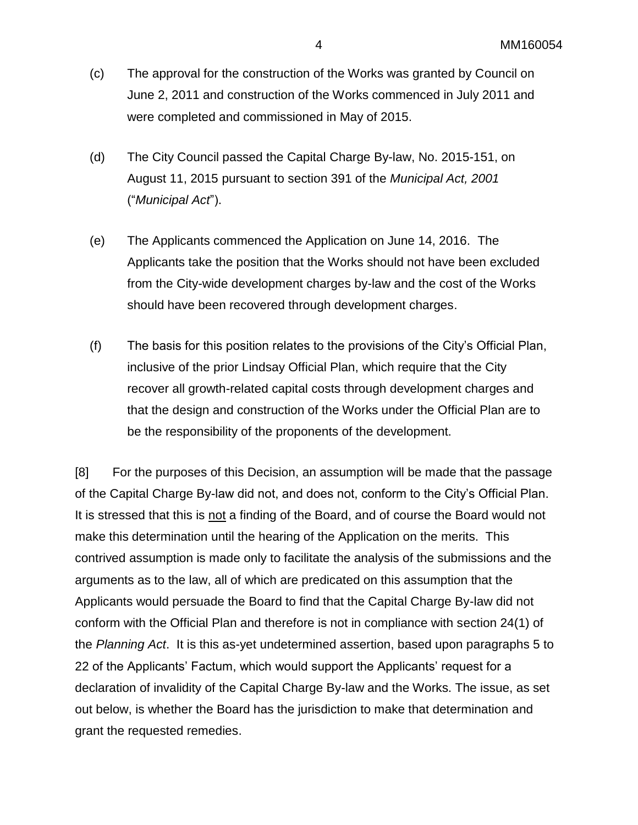- (c) The approval for the construction of the Works was granted by Council on June 2, 2011 and construction of the Works commenced in July 2011 and were completed and commissioned in May of 2015.
- (d) The City Council passed the Capital Charge By-law, No. 2015-151, on August 11, 2015 pursuant to section 391 of the *Municipal Act, 2001* ("*Municipal Act*").
- (e) The Applicants commenced the Application on June 14, 2016. The Applicants take the position that the Works should not have been excluded from the City-wide development charges by-law and the cost of the Works should have been recovered through development charges.
- (f) The basis for this position relates to the provisions of the City's Official Plan, inclusive of the prior Lindsay Official Plan, which require that the City recover all growth-related capital costs through development charges and that the design and construction of the Works under the Official Plan are to be the responsibility of the proponents of the development.

[8] For the purposes of this Decision, an assumption will be made that the passage of the Capital Charge By-law did not, and does not, conform to the City's Official Plan. It is stressed that this is not a finding of the Board, and of course the Board would not make this determination until the hearing of the Application on the merits. This contrived assumption is made only to facilitate the analysis of the submissions and the arguments as to the law, all of which are predicated on this assumption that the Applicants would persuade the Board to find that the Capital Charge By-law did not conform with the Official Plan and therefore is not in compliance with section 24(1) of the *Planning Act*. It is this as-yet undetermined assertion, based upon paragraphs 5 to 22 of the Applicants' Factum, which would support the Applicants' request for a declaration of invalidity of the Capital Charge By-law and the Works. The issue, as set out below, is whether the Board has the jurisdiction to make that determination and grant the requested remedies.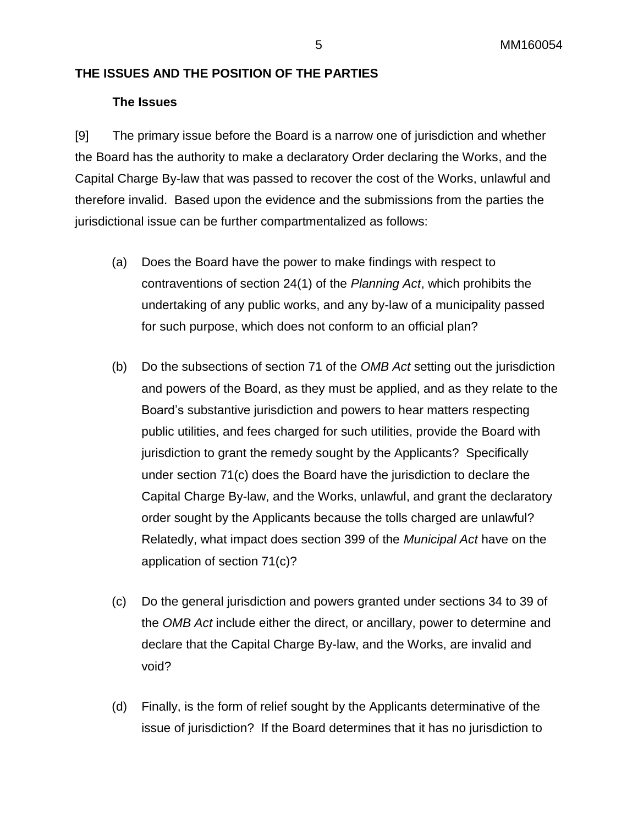### **THE ISSUES AND THE POSITION OF THE PARTIES**

### **The Issues**

[9] The primary issue before the Board is a narrow one of jurisdiction and whether the Board has the authority to make a declaratory Order declaring the Works, and the Capital Charge By-law that was passed to recover the cost of the Works, unlawful and therefore invalid. Based upon the evidence and the submissions from the parties the jurisdictional issue can be further compartmentalized as follows:

- (a) Does the Board have the power to make findings with respect to contraventions of section 24(1) of the *Planning Act*, which prohibits the undertaking of any public works, and any by-law of a municipality passed for such purpose, which does not conform to an official plan?
- (b) Do the subsections of section 71 of the *OMB Act* setting out the jurisdiction and powers of the Board, as they must be applied, and as they relate to the Board's substantive jurisdiction and powers to hear matters respecting public utilities, and fees charged for such utilities, provide the Board with jurisdiction to grant the remedy sought by the Applicants? Specifically under section 71(c) does the Board have the jurisdiction to declare the Capital Charge By-law, and the Works, unlawful, and grant the declaratory order sought by the Applicants because the tolls charged are unlawful? Relatedly, what impact does section 399 of the *Municipal Act* have on the application of section 71(c)?
- (c) Do the general jurisdiction and powers granted under sections 34 to 39 of the *OMB Act* include either the direct, or ancillary, power to determine and declare that the Capital Charge By-law, and the Works, are invalid and void?
- (d) Finally, is the form of relief sought by the Applicants determinative of the issue of jurisdiction? If the Board determines that it has no jurisdiction to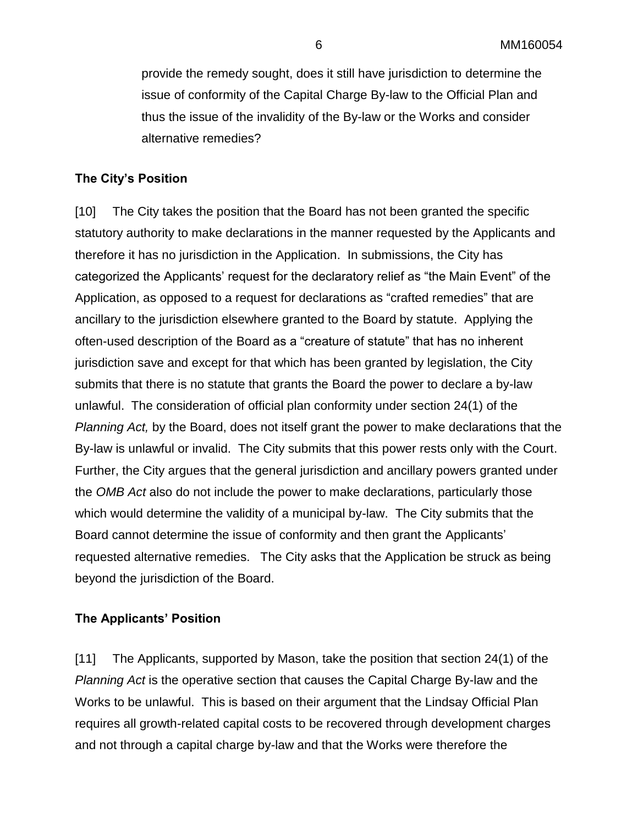provide the remedy sought, does it still have jurisdiction to determine the issue of conformity of the Capital Charge By-law to the Official Plan and thus the issue of the invalidity of the By-law or the Works and consider alternative remedies?

### **The City's Position**

[10] The City takes the position that the Board has not been granted the specific statutory authority to make declarations in the manner requested by the Applicants and therefore it has no jurisdiction in the Application. In submissions, the City has categorized the Applicants' request for the declaratory relief as "the Main Event" of the Application, as opposed to a request for declarations as "crafted remedies" that are ancillary to the jurisdiction elsewhere granted to the Board by statute. Applying the often-used description of the Board as a "creature of statute" that has no inherent jurisdiction save and except for that which has been granted by legislation, the City submits that there is no statute that grants the Board the power to declare a by-law unlawful. The consideration of official plan conformity under section 24(1) of the *Planning Act,* by the Board, does not itself grant the power to make declarations that the By-law is unlawful or invalid. The City submits that this power rests only with the Court. Further, the City argues that the general jurisdiction and ancillary powers granted under the *OMB Act* also do not include the power to make declarations, particularly those which would determine the validity of a municipal by-law. The City submits that the Board cannot determine the issue of conformity and then grant the Applicants' requested alternative remedies. The City asks that the Application be struck as being beyond the jurisdiction of the Board.

### **The Applicants' Position**

[11] The Applicants, supported by Mason, take the position that section 24(1) of the *Planning Act* is the operative section that causes the Capital Charge By-law and the Works to be unlawful. This is based on their argument that the Lindsay Official Plan requires all growth-related capital costs to be recovered through development charges and not through a capital charge by-law and that the Works were therefore the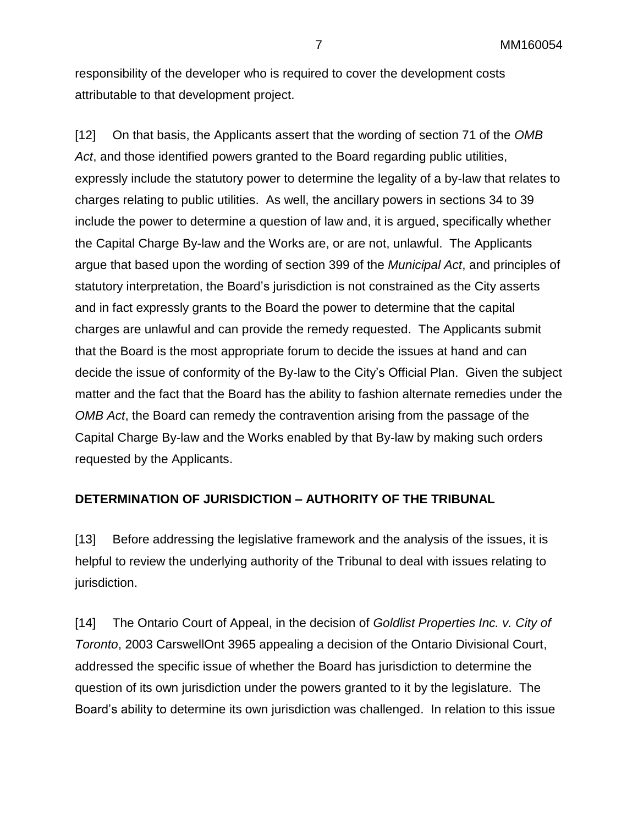responsibility of the developer who is required to cover the development costs attributable to that development project.

[12] On that basis, the Applicants assert that the wording of section 71 of the *OMB Act*, and those identified powers granted to the Board regarding public utilities, expressly include the statutory power to determine the legality of a by-law that relates to charges relating to public utilities. As well, the ancillary powers in sections 34 to 39 include the power to determine a question of law and, it is argued, specifically whether the Capital Charge By-law and the Works are, or are not, unlawful. The Applicants argue that based upon the wording of section 399 of the *Municipal Act*, and principles of statutory interpretation, the Board's jurisdiction is not constrained as the City asserts and in fact expressly grants to the Board the power to determine that the capital charges are unlawful and can provide the remedy requested. The Applicants submit that the Board is the most appropriate forum to decide the issues at hand and can decide the issue of conformity of the By-law to the City's Official Plan. Given the subject matter and the fact that the Board has the ability to fashion alternate remedies under the *OMB Act*, the Board can remedy the contravention arising from the passage of the Capital Charge By-law and the Works enabled by that By-law by making such orders requested by the Applicants.

### **DETERMINATION OF JURISDICTION – AUTHORITY OF THE TRIBUNAL**

[13] Before addressing the legislative framework and the analysis of the issues, it is helpful to review the underlying authority of the Tribunal to deal with issues relating to jurisdiction.

[14] The Ontario Court of Appeal, in the decision of *Goldlist Properties Inc. v. City of Toronto*, 2003 CarswellOnt 3965 appealing a decision of the Ontario Divisional Court, addressed the specific issue of whether the Board has jurisdiction to determine the question of its own jurisdiction under the powers granted to it by the legislature. The Board's ability to determine its own jurisdiction was challenged. In relation to this issue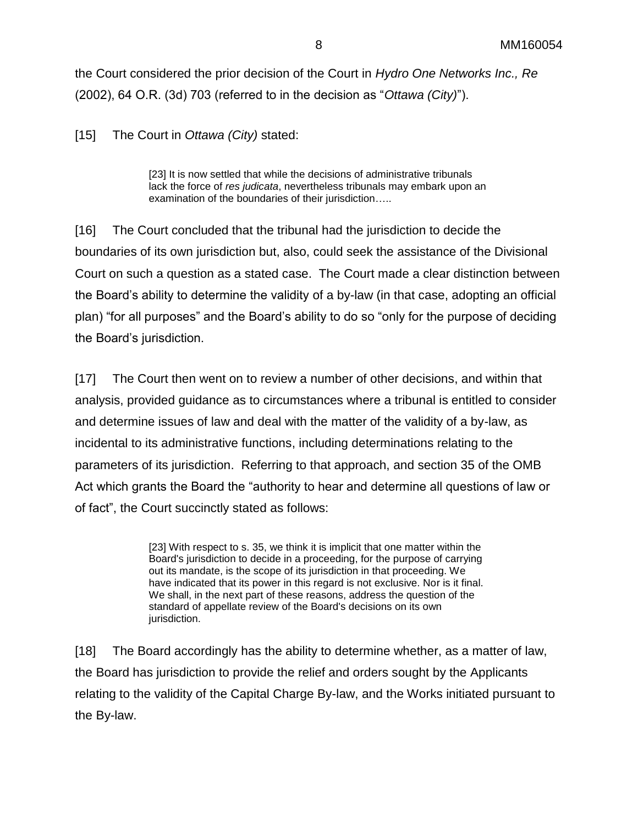the Court considered the prior decision of the Court in *Hydro One Networks Inc., Re* (2002), 64 O.R. (3d) 703 (referred to in the decision as "*Ottawa (City)*").

[15] The Court in *Ottawa (City)* stated:

[23] It is now settled that while the decisions of administrative tribunals lack the force of *res judicata*, nevertheless tribunals may embark upon an examination of the boundaries of their jurisdiction…..

[16] The Court concluded that the tribunal had the jurisdiction to decide the boundaries of its own jurisdiction but, also, could seek the assistance of the Divisional Court on such a question as a stated case. The Court made a clear distinction between the Board's ability to determine the validity of a by-law (in that case, adopting an official plan) "for all purposes" and the Board's ability to do so "only for the purpose of deciding the Board's jurisdiction.

[17] The Court then went on to review a number of other decisions, and within that analysis, provided guidance as to circumstances where a tribunal is entitled to consider and determine issues of law and deal with the matter of the validity of a by-law, as incidental to its administrative functions, including determinations relating to the parameters of its jurisdiction. Referring to that approach, and section 35 of the OMB Act which grants the Board the "authority to hear and determine all questions of law or of fact", the Court succinctly stated as follows:

> [23] With respect to s. 35, we think it is implicit that one matter within the Board's jurisdiction to decide in a proceeding, for the purpose of carrying out its mandate, is the scope of its jurisdiction in that proceeding. We have indicated that its power in this regard is not exclusive. Nor is it final. We shall, in the next part of these reasons, address the question of the standard of appellate review of the Board's decisions on its own jurisdiction.

[18] The Board accordingly has the ability to determine whether, as a matter of law, the Board has jurisdiction to provide the relief and orders sought by the Applicants relating to the validity of the Capital Charge By-law, and the Works initiated pursuant to the By-law.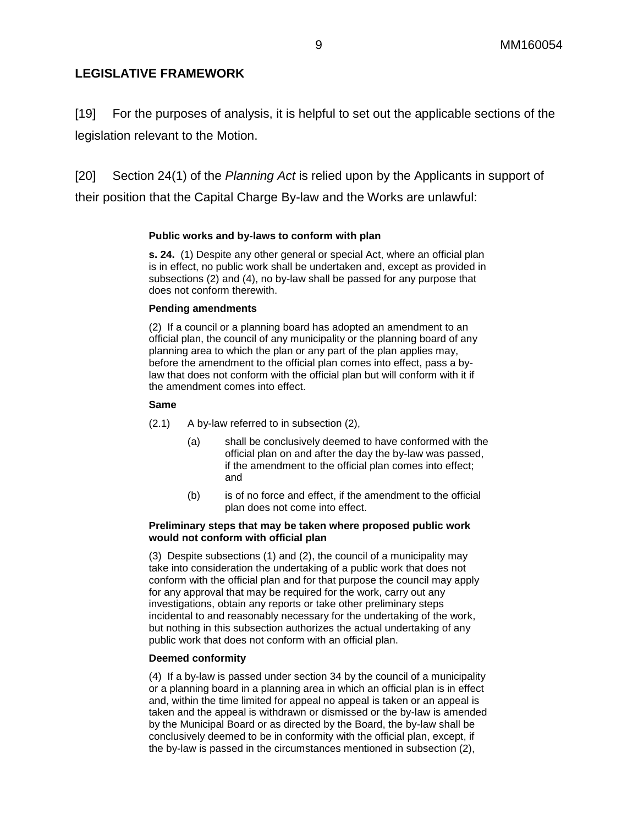### **LEGISLATIVE FRAMEWORK**

[19] For the purposes of analysis, it is helpful to set out the applicable sections of the legislation relevant to the Motion.

[20] Section 24(1) of the *Planning Act* is relied upon by the Applicants in support of

their position that the Capital Charge By-law and the Works are unlawful:

### **Public works and by-laws to conform with plan**

**s. 24.** (1) Despite any other general or special Act, where an official plan is in effect, no public work shall be undertaken and, except as provided in subsections (2) and (4), no by-law shall be passed for any purpose that does not conform therewith.

#### **Pending amendments**

(2) If a council or a planning board has adopted an amendment to an official plan, the council of any municipality or the planning board of any planning area to which the plan or any part of the plan applies may, before the amendment to the official plan comes into effect, pass a bylaw that does not conform with the official plan but will conform with it if the amendment comes into effect.

#### **Same**

- (2.1) A by-law referred to in subsection (2),
	- (a) shall be conclusively deemed to have conformed with the official plan on and after the day the by-law was passed, if the amendment to the official plan comes into effect; and
	- (b) is of no force and effect, if the amendment to the official plan does not come into effect.

#### **Preliminary steps that may be taken where proposed public work would not conform with official plan**

(3) Despite subsections (1) and (2), the council of a municipality may take into consideration the undertaking of a public work that does not conform with the official plan and for that purpose the council may apply for any approval that may be required for the work, carry out any investigations, obtain any reports or take other preliminary steps incidental to and reasonably necessary for the undertaking of the work, but nothing in this subsection authorizes the actual undertaking of any public work that does not conform with an official plan.

#### **Deemed conformity**

(4) If a by-law is passed under section 34 by the council of a municipality or a planning board in a planning area in which an official plan is in effect and, within the time limited for appeal no appeal is taken or an appeal is taken and the appeal is withdrawn or dismissed or the by-law is amended by the Municipal Board or as directed by the Board, the by-law shall be conclusively deemed to be in conformity with the official plan, except, if the by-law is passed in the circumstances mentioned in subsection (2),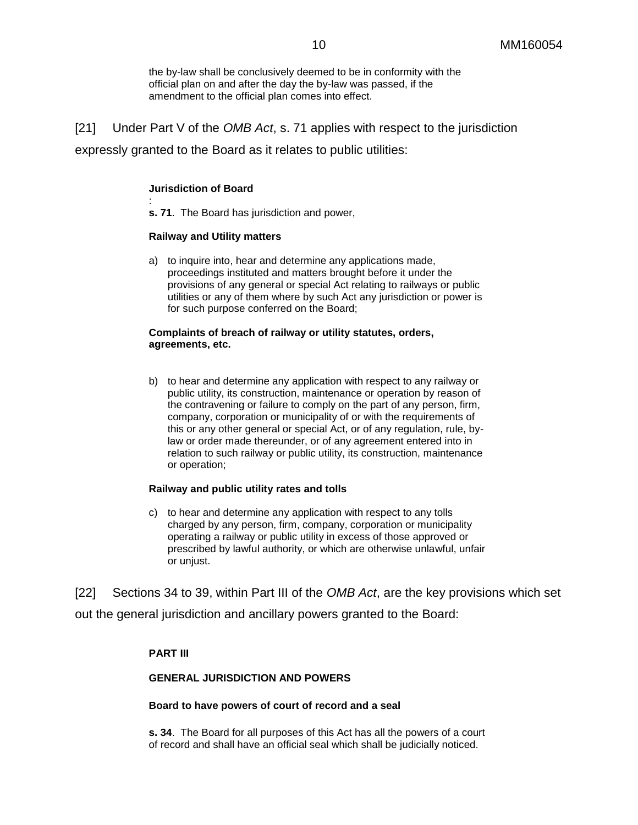the by-law shall be conclusively deemed to be in conformity with the official plan on and after the day the by-law was passed, if the amendment to the official plan comes into effect.

[21] Under Part V of the *OMB Act*, s. 71 applies with respect to the jurisdiction expressly granted to the Board as it relates to public utilities:

#### **Jurisdiction of Board**

: **s. 71**. The Board has jurisdiction and power,

#### **Railway and Utility matters**

a) to inquire into, hear and determine any applications made, proceedings instituted and matters brought before it under the provisions of any general or special Act relating to railways or public utilities or any of them where by such Act any jurisdiction or power is for such purpose conferred on the Board;

#### **Complaints of breach of railway or utility statutes, orders, agreements, etc.**

b) to hear and determine any application with respect to any railway or public utility, its construction, maintenance or operation by reason of the contravening or failure to comply on the part of any person, firm, company, corporation or municipality of or with the requirements of this or any other general or special Act, or of any regulation, rule, bylaw or order made thereunder, or of any agreement entered into in relation to such railway or public utility, its construction, maintenance or operation;

#### **Railway and public utility rates and tolls**

c) to hear and determine any application with respect to any tolls charged by any person, firm, company, corporation or municipality operating a railway or public utility in excess of those approved or prescribed by lawful authority, or which are otherwise unlawful, unfair or unjust.

[22] Sections 34 to 39, within Part III of the *OMB Act*, are the key provisions which set out the general jurisdiction and ancillary powers granted to the Board:

#### **PART III**

#### **GENERAL JURISDICTION AND POWERS**

#### **Board to have powers of court of record and a seal**

**s. 34**. The Board for all purposes of this Act has all the powers of a court of record and shall have an official seal which shall be judicially noticed.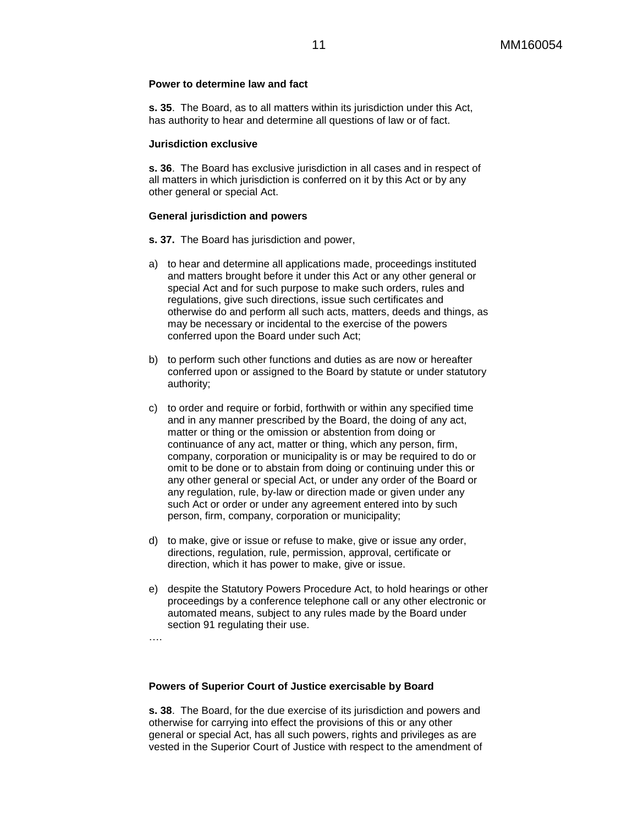#### **Power to determine law and fact**

**s. 35**. The Board, as to all matters within its jurisdiction under this Act, has authority to hear and determine all questions of law or of fact.

#### **Jurisdiction exclusive**

**s. 36**. The Board has exclusive jurisdiction in all cases and in respect of all matters in which jurisdiction is conferred on it by this Act or by any other general or special Act.

#### **General jurisdiction and powers**

**s. 37.** The Board has jurisdiction and power,

- a) to hear and determine all applications made, proceedings instituted and matters brought before it under this Act or any other general or special Act and for such purpose to make such orders, rules and regulations, give such directions, issue such certificates and otherwise do and perform all such acts, matters, deeds and things, as may be necessary or incidental to the exercise of the powers conferred upon the Board under such Act;
- b) to perform such other functions and duties as are now or hereafter conferred upon or assigned to the Board by statute or under statutory authority;
- c) to order and require or forbid, forthwith or within any specified time and in any manner prescribed by the Board, the doing of any act, matter or thing or the omission or abstention from doing or continuance of any act, matter or thing, which any person, firm, company, corporation or municipality is or may be required to do or omit to be done or to abstain from doing or continuing under this or any other general or special Act, or under any order of the Board or any regulation, rule, by-law or direction made or given under any such Act or order or under any agreement entered into by such person, firm, company, corporation or municipality;
- d) to make, give or issue or refuse to make, give or issue any order, directions, regulation, rule, permission, approval, certificate or direction, which it has power to make, give or issue.
- e) despite the Statutory Powers Procedure Act, to hold hearings or other proceedings by a conference telephone call or any other electronic or automated means, subject to any rules made by the Board under section 91 regulating their use.
- ….

#### **Powers of Superior Court of Justice exercisable by Board**

**s. 38**. The Board, for the due exercise of its jurisdiction and powers and otherwise for carrying into effect the provisions of this or any other general or special Act, has all such powers, rights and privileges as are vested in the Superior Court of Justice with respect to the amendment of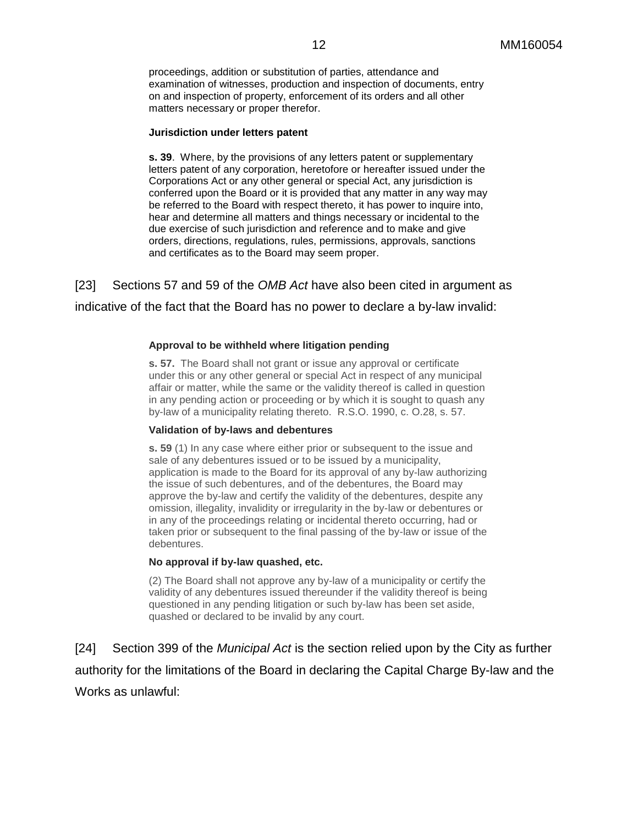proceedings, addition or substitution of parties, attendance and examination of witnesses, production and inspection of documents, entry on and inspection of property, enforcement of its orders and all other matters necessary or proper therefor.

#### **Jurisdiction under letters patent**

**s. 39**. Where, by the provisions of any letters patent or supplementary letters patent of any corporation, heretofore or hereafter issued under the Corporations Act or any other general or special Act, any jurisdiction is conferred upon the Board or it is provided that any matter in any way may be referred to the Board with respect thereto, it has power to inquire into, hear and determine all matters and things necessary or incidental to the due exercise of such jurisdiction and reference and to make and give orders, directions, regulations, rules, permissions, approvals, sanctions and certificates as to the Board may seem proper.

[23] Sections 57 and 59 of the *OMB Act* have also been cited in argument as indicative of the fact that the Board has no power to declare a by-law invalid:

#### **Approval to be withheld where litigation pending**

**s. 57.** The Board shall not grant or issue any approval or certificate under this or any other general or special Act in respect of any municipal affair or matter, while the same or the validity thereof is called in question in any pending action or proceeding or by which it is sought to quash any by-law of a municipality relating thereto. R.S.O. 1990, c. O.28, s. 57.

#### **Validation of by-laws and debentures**

**s. 59** (1) In any case where either prior or subsequent to the issue and sale of any debentures issued or to be issued by a municipality, application is made to the Board for its approval of any by-law authorizing the issue of such debentures, and of the debentures, the Board may approve the by-law and certify the validity of the debentures, despite any omission, illegality, invalidity or irregularity in the by-law or debentures or in any of the proceedings relating or incidental thereto occurring, had or taken prior or subsequent to the final passing of the by-law or issue of the debentures.

#### **No approval if by-law quashed, etc.**

(2) The Board shall not approve any by-law of a municipality or certify the validity of any debentures issued thereunder if the validity thereof is being questioned in any pending litigation or such by-law has been set aside, quashed or declared to be invalid by any court.

[24] Section 399 of the *Municipal Act* is the section relied upon by the City as further authority for the limitations of the Board in declaring the Capital Charge By-law and the Works as unlawful: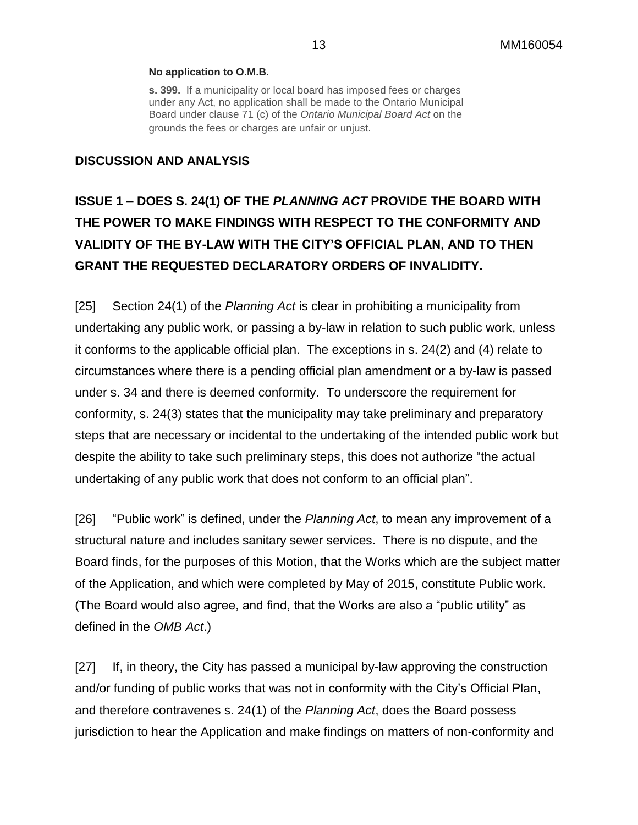#### **No application to O.M.B.**

**s. 399.** If a municipality or local board has imposed fees or charges under any Act, no application shall be made to the Ontario Municipal Board under clause 71 (c) of the *Ontario Municipal Board Act* on the grounds the fees or charges are unfair or unjust.

### **DISCUSSION AND ANALYSIS**

# **ISSUE 1 – DOES S. 24(1) OF THE** *PLANNING ACT* **PROVIDE THE BOARD WITH THE POWER TO MAKE FINDINGS WITH RESPECT TO THE CONFORMITY AND VALIDITY OF THE BY-LAW WITH THE CITY'S OFFICIAL PLAN, AND TO THEN GRANT THE REQUESTED DECLARATORY ORDERS OF INVALIDITY.**

[25] Section 24(1) of the *Planning Act* is clear in prohibiting a municipality from undertaking any public work, or passing a by-law in relation to such public work, unless it conforms to the applicable official plan. The exceptions in s. 24(2) and (4) relate to circumstances where there is a pending official plan amendment or a by-law is passed under s. 34 and there is deemed conformity. To underscore the requirement for conformity, s. 24(3) states that the municipality may take preliminary and preparatory steps that are necessary or incidental to the undertaking of the intended public work but despite the ability to take such preliminary steps, this does not authorize "the actual undertaking of any public work that does not conform to an official plan".

[26] "Public work" is defined, under the *Planning Act*, to mean any improvement of a structural nature and includes sanitary sewer services. There is no dispute, and the Board finds, for the purposes of this Motion, that the Works which are the subject matter of the Application, and which were completed by May of 2015, constitute Public work. (The Board would also agree, and find, that the Works are also a "public utility" as defined in the *OMB Act*.)

[27] If, in theory, the City has passed a municipal by-law approving the construction and/or funding of public works that was not in conformity with the City's Official Plan, and therefore contravenes s. 24(1) of the *Planning Act*, does the Board possess jurisdiction to hear the Application and make findings on matters of non-conformity and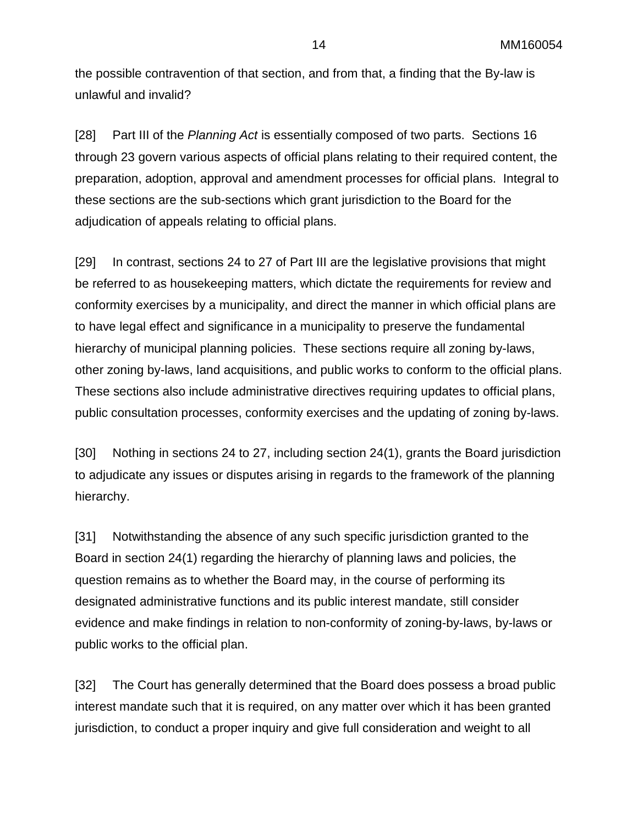the possible contravention of that section, and from that, a finding that the By-law is unlawful and invalid?

[28] Part III of the *Planning Act* is essentially composed of two parts. Sections 16 through 23 govern various aspects of official plans relating to their required content, the preparation, adoption, approval and amendment processes for official plans. Integral to these sections are the sub-sections which grant jurisdiction to the Board for the adjudication of appeals relating to official plans.

[29] In contrast, sections 24 to 27 of Part III are the legislative provisions that might be referred to as housekeeping matters, which dictate the requirements for review and conformity exercises by a municipality, and direct the manner in which official plans are to have legal effect and significance in a municipality to preserve the fundamental hierarchy of municipal planning policies. These sections require all zoning by-laws, other zoning by-laws, land acquisitions, and public works to conform to the official plans. These sections also include administrative directives requiring updates to official plans, public consultation processes, conformity exercises and the updating of zoning by-laws.

[30] Nothing in sections 24 to 27, including section 24(1), grants the Board jurisdiction to adjudicate any issues or disputes arising in regards to the framework of the planning hierarchy.

[31] Notwithstanding the absence of any such specific jurisdiction granted to the Board in section 24(1) regarding the hierarchy of planning laws and policies, the question remains as to whether the Board may, in the course of performing its designated administrative functions and its public interest mandate, still consider evidence and make findings in relation to non-conformity of zoning-by-laws, by-laws or public works to the official plan.

[32] The Court has generally determined that the Board does possess a broad public interest mandate such that it is required, on any matter over which it has been granted jurisdiction, to conduct a proper inquiry and give full consideration and weight to all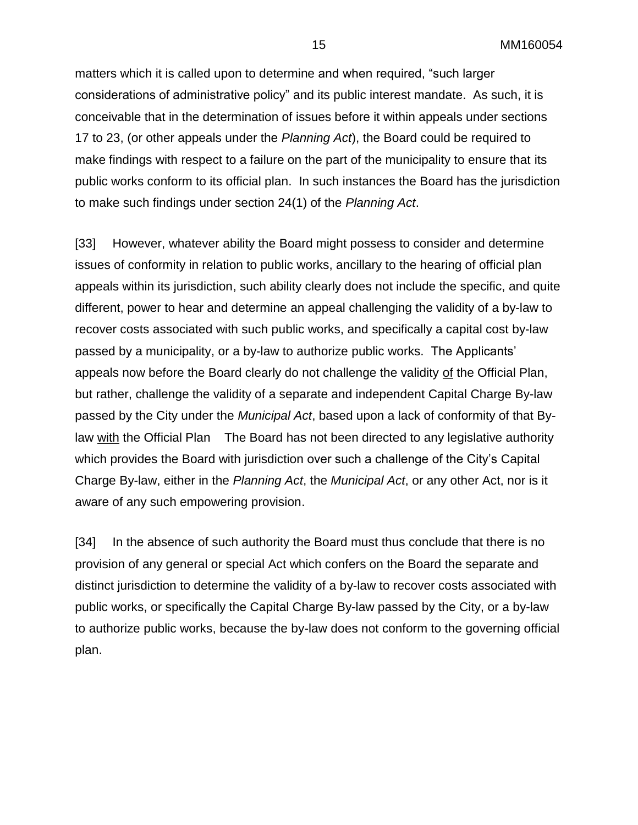15 MM160054

matters which it is called upon to determine and when required, "such larger considerations of administrative policy" and its public interest mandate. As such, it is conceivable that in the determination of issues before it within appeals under sections 17 to 23, (or other appeals under the *Planning Act*), the Board could be required to make findings with respect to a failure on the part of the municipality to ensure that its public works conform to its official plan. In such instances the Board has the jurisdiction to make such findings under section 24(1) of the *Planning Act*.

[33] However, whatever ability the Board might possess to consider and determine issues of conformity in relation to public works, ancillary to the hearing of official plan appeals within its jurisdiction, such ability clearly does not include the specific, and quite different, power to hear and determine an appeal challenging the validity of a by-law to recover costs associated with such public works, and specifically a capital cost by-law passed by a municipality, or a by-law to authorize public works. The Applicants' appeals now before the Board clearly do not challenge the validity of the Official Plan, but rather, challenge the validity of a separate and independent Capital Charge By-law passed by the City under the *Municipal Act*, based upon a lack of conformity of that Bylaw with the Official Plan The Board has not been directed to any legislative authority which provides the Board with jurisdiction over such a challenge of the City's Capital Charge By-law, either in the *Planning Act*, the *Municipal Act*, or any other Act, nor is it aware of any such empowering provision.

[34] In the absence of such authority the Board must thus conclude that there is no provision of any general or special Act which confers on the Board the separate and distinct jurisdiction to determine the validity of a by-law to recover costs associated with public works, or specifically the Capital Charge By-law passed by the City, or a by-law to authorize public works, because the by-law does not conform to the governing official plan.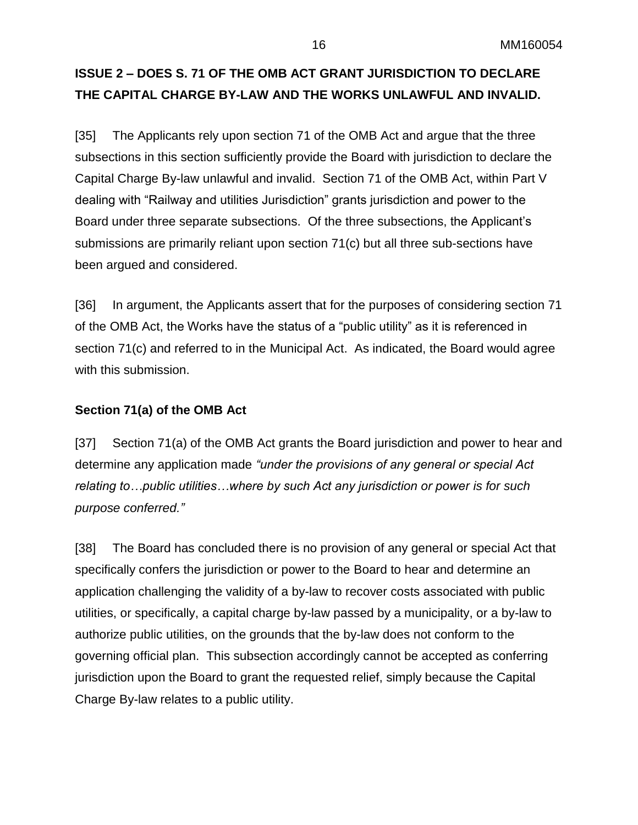## **ISSUE 2 – DOES S. 71 OF THE OMB ACT GRANT JURISDICTION TO DECLARE THE CAPITAL CHARGE BY-LAW AND THE WORKS UNLAWFUL AND INVALID.**

[35] The Applicants rely upon section 71 of the OMB Act and argue that the three subsections in this section sufficiently provide the Board with jurisdiction to declare the Capital Charge By-law unlawful and invalid. Section 71 of the OMB Act, within Part V dealing with "Railway and utilities Jurisdiction" grants jurisdiction and power to the Board under three separate subsections. Of the three subsections, the Applicant's submissions are primarily reliant upon section 71(c) but all three sub-sections have been argued and considered.

[36] In argument, the Applicants assert that for the purposes of considering section 71 of the OMB Act, the Works have the status of a "public utility" as it is referenced in section 71(c) and referred to in the Municipal Act. As indicated, the Board would agree with this submission.

### **Section 71(a) of the OMB Act**

[37] Section 71(a) of the OMB Act grants the Board jurisdiction and power to hear and determine any application made *"under the provisions of any general or special Act relating to…public utilities…where by such Act any jurisdiction or power is for such purpose conferred."* 

[38] The Board has concluded there is no provision of any general or special Act that specifically confers the jurisdiction or power to the Board to hear and determine an application challenging the validity of a by-law to recover costs associated with public utilities, or specifically, a capital charge by-law passed by a municipality, or a by-law to authorize public utilities, on the grounds that the by-law does not conform to the governing official plan. This subsection accordingly cannot be accepted as conferring jurisdiction upon the Board to grant the requested relief, simply because the Capital Charge By-law relates to a public utility.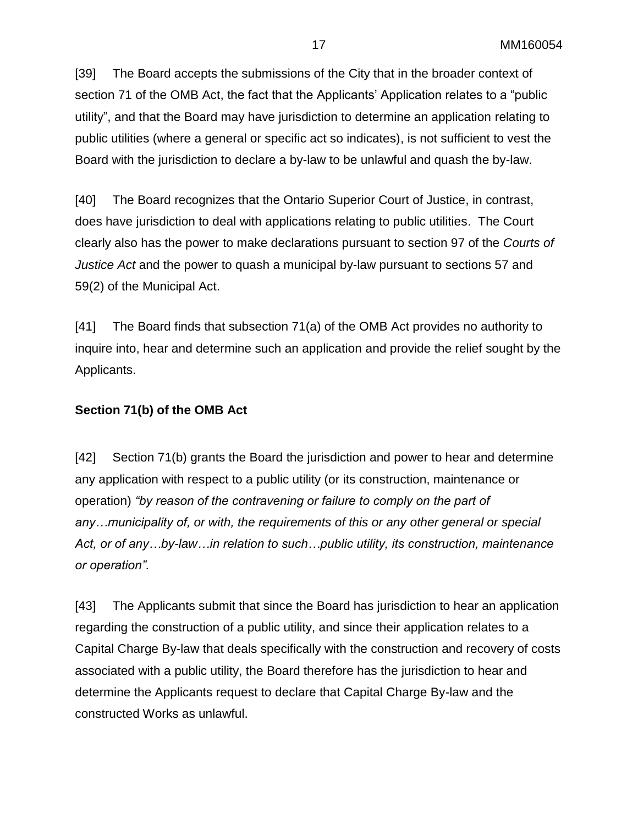[39] The Board accepts the submissions of the City that in the broader context of section 71 of the OMB Act, the fact that the Applicants' Application relates to a "public utility", and that the Board may have jurisdiction to determine an application relating to public utilities (where a general or specific act so indicates), is not sufficient to vest the Board with the jurisdiction to declare a by-law to be unlawful and quash the by-law.

[40] The Board recognizes that the Ontario Superior Court of Justice, in contrast, does have jurisdiction to deal with applications relating to public utilities. The Court clearly also has the power to make declarations pursuant to section 97 of the *Courts of Justice Act* and the power to quash a municipal by-law pursuant to sections 57 and 59(2) of the Municipal Act.

[41] The Board finds that subsection 71(a) of the OMB Act provides no authority to inquire into, hear and determine such an application and provide the relief sought by the Applicants.

### **Section 71(b) of the OMB Act**

[42] Section 71(b) grants the Board the jurisdiction and power to hear and determine any application with respect to a public utility (or its construction, maintenance or operation) *"by reason of the contravening or failure to comply on the part of any…municipality of, or with, the requirements of this or any other general or special Act, or of any…by-law…in relation to such…public utility, its construction, maintenance or operation".*

[43] The Applicants submit that since the Board has jurisdiction to hear an application regarding the construction of a public utility, and since their application relates to a Capital Charge By-law that deals specifically with the construction and recovery of costs associated with a public utility, the Board therefore has the jurisdiction to hear and determine the Applicants request to declare that Capital Charge By-law and the constructed Works as unlawful.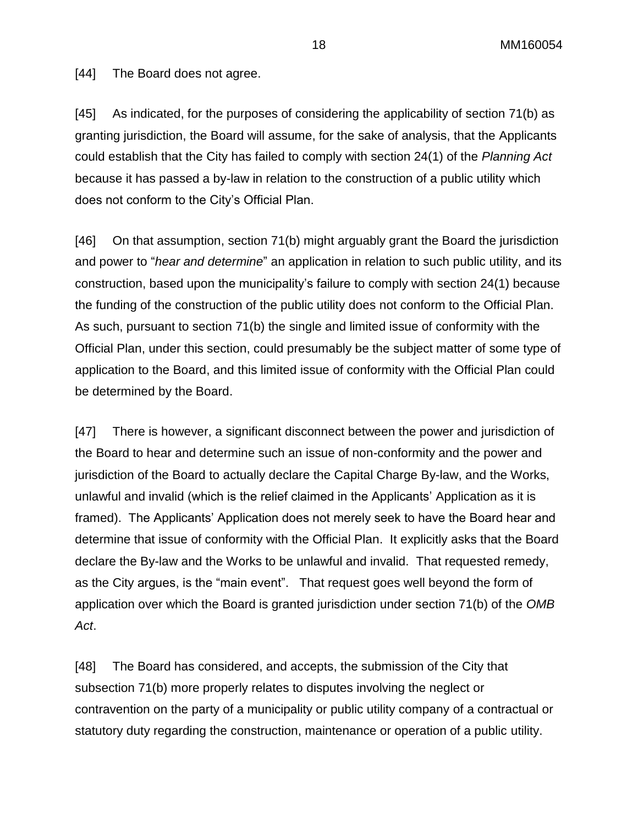18 MM160054

[44] The Board does not agree.

[45] As indicated, for the purposes of considering the applicability of section 71(b) as granting jurisdiction, the Board will assume, for the sake of analysis, that the Applicants could establish that the City has failed to comply with section 24(1) of the *Planning Act* because it has passed a by-law in relation to the construction of a public utility which does not conform to the City's Official Plan.

[46] On that assumption, section 71(b) might arguably grant the Board the jurisdiction and power to "*hear and determine*" an application in relation to such public utility, and its construction, based upon the municipality's failure to comply with section 24(1) because the funding of the construction of the public utility does not conform to the Official Plan. As such, pursuant to section 71(b) the single and limited issue of conformity with the Official Plan, under this section, could presumably be the subject matter of some type of application to the Board, and this limited issue of conformity with the Official Plan could be determined by the Board.

[47] There is however, a significant disconnect between the power and jurisdiction of the Board to hear and determine such an issue of non-conformity and the power and jurisdiction of the Board to actually declare the Capital Charge By-law, and the Works, unlawful and invalid (which is the relief claimed in the Applicants' Application as it is framed). The Applicants' Application does not merely seek to have the Board hear and determine that issue of conformity with the Official Plan. It explicitly asks that the Board declare the By-law and the Works to be unlawful and invalid. That requested remedy, as the City argues, is the "main event". That request goes well beyond the form of application over which the Board is granted jurisdiction under section 71(b) of the *OMB Act*.

[48] The Board has considered, and accepts, the submission of the City that subsection 71(b) more properly relates to disputes involving the neglect or contravention on the party of a municipality or public utility company of a contractual or statutory duty regarding the construction, maintenance or operation of a public utility.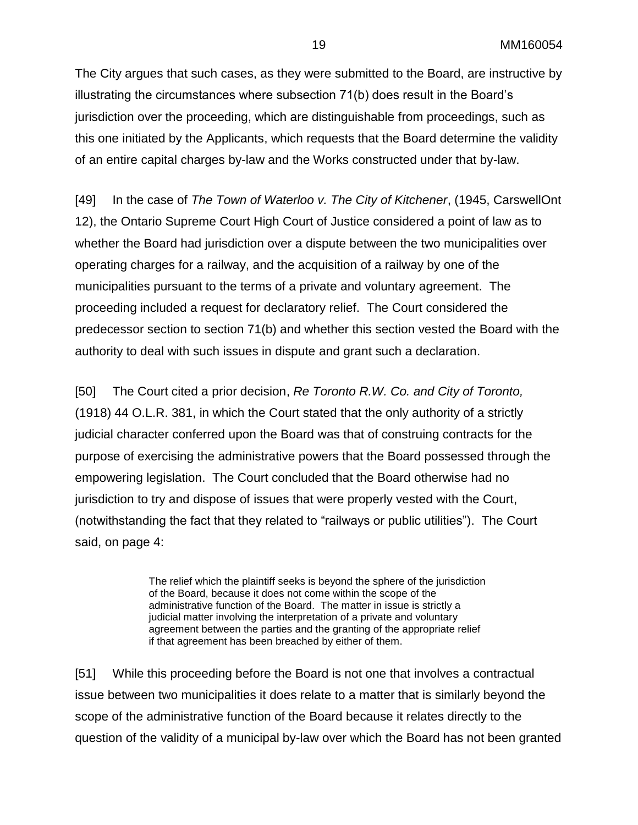The City argues that such cases, as they were submitted to the Board, are instructive by illustrating the circumstances where subsection 71(b) does result in the Board's jurisdiction over the proceeding, which are distinguishable from proceedings, such as this one initiated by the Applicants, which requests that the Board determine the validity of an entire capital charges by-law and the Works constructed under that by-law.

[49] In the case of *The Town of Waterloo v. The City of Kitchener*, (1945, CarswellOnt 12), the Ontario Supreme Court High Court of Justice considered a point of law as to whether the Board had jurisdiction over a dispute between the two municipalities over operating charges for a railway, and the acquisition of a railway by one of the municipalities pursuant to the terms of a private and voluntary agreement. The proceeding included a request for declaratory relief. The Court considered the predecessor section to section 71(b) and whether this section vested the Board with the authority to deal with such issues in dispute and grant such a declaration.

[50] The Court cited a prior decision, *Re Toronto R.W. Co. and City of Toronto,* (1918) 44 O.L.R. 381, in which the Court stated that the only authority of a strictly judicial character conferred upon the Board was that of construing contracts for the purpose of exercising the administrative powers that the Board possessed through the empowering legislation. The Court concluded that the Board otherwise had no jurisdiction to try and dispose of issues that were properly vested with the Court, (notwithstanding the fact that they related to "railways or public utilities"). The Court said, on page 4:

> The relief which the plaintiff seeks is beyond the sphere of the jurisdiction of the Board, because it does not come within the scope of the administrative function of the Board. The matter in issue is strictly a judicial matter involving the interpretation of a private and voluntary agreement between the parties and the granting of the appropriate relief if that agreement has been breached by either of them.

[51] While this proceeding before the Board is not one that involves a contractual issue between two municipalities it does relate to a matter that is similarly beyond the scope of the administrative function of the Board because it relates directly to the question of the validity of a municipal by-law over which the Board has not been granted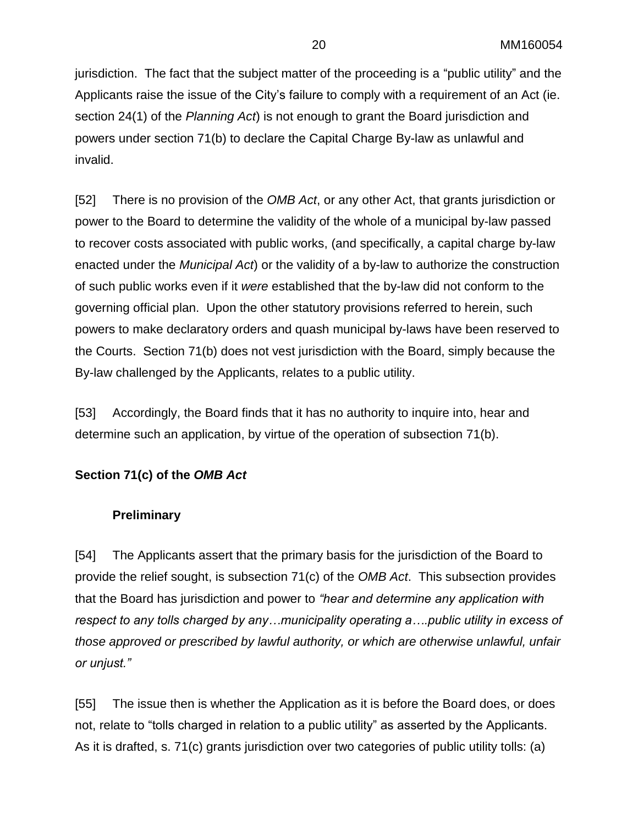jurisdiction. The fact that the subject matter of the proceeding is a "public utility" and the Applicants raise the issue of the City's failure to comply with a requirement of an Act (ie. section 24(1) of the *Planning Act*) is not enough to grant the Board jurisdiction and powers under section 71(b) to declare the Capital Charge By-law as unlawful and invalid.

[52] There is no provision of the *OMB Act*, or any other Act, that grants jurisdiction or power to the Board to determine the validity of the whole of a municipal by-law passed to recover costs associated with public works, (and specifically, a capital charge by-law enacted under the *Municipal Act*) or the validity of a by-law to authorize the construction of such public works even if it *were* established that the by-law did not conform to the governing official plan. Upon the other statutory provisions referred to herein, such powers to make declaratory orders and quash municipal by-laws have been reserved to the Courts. Section 71(b) does not vest jurisdiction with the Board, simply because the By-law challenged by the Applicants, relates to a public utility.

[53] Accordingly, the Board finds that it has no authority to inquire into, hear and determine such an application, by virtue of the operation of subsection 71(b).

### **Section 71(c) of the** *OMB Act*

### **Preliminary**

[54] The Applicants assert that the primary basis for the jurisdiction of the Board to provide the relief sought, is subsection 71(c) of the *OMB Act*. This subsection provides that the Board has jurisdiction and power to *"hear and determine any application with respect to any tolls charged by any…municipality operating a….public utility in excess of those approved or prescribed by lawful authority, or which are otherwise unlawful, unfair or unjust."*

[55] The issue then is whether the Application as it is before the Board does, or does not, relate to "tolls charged in relation to a public utility" as asserted by the Applicants. As it is drafted, s. 71(c) grants jurisdiction over two categories of public utility tolls: (a)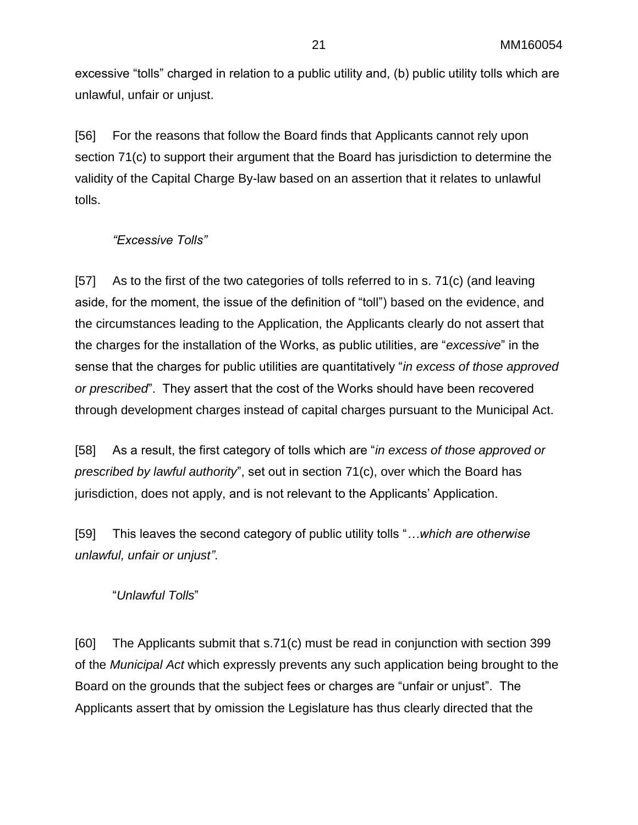excessive "tolls" charged in relation to a public utility and, (b) public utility tolls which are unlawful, unfair or unjust.

[56] For the reasons that follow the Board finds that Applicants cannot rely upon section 71(c) to support their argument that the Board has jurisdiction to determine the validity of the Capital Charge By-law based on an assertion that it relates to unlawful tolls.

### *"Excessive Tolls"*

[57] As to the first of the two categories of tolls referred to in s. 71(c) (and leaving aside, for the moment, the issue of the definition of "toll") based on the evidence, and the circumstances leading to the Application, the Applicants clearly do not assert that the charges for the installation of the Works, as public utilities, are "*excessive*" in the sense that the charges for public utilities are quantitatively "*in excess of those approved or prescribed*". They assert that the cost of the Works should have been recovered through development charges instead of capital charges pursuant to the Municipal Act.

[58] As a result, the first category of tolls which are "*in excess of those approved or prescribed by lawful authority*", set out in section 71(c), over which the Board has jurisdiction, does not apply, and is not relevant to the Applicants' Application.

[59] This leaves the second category of public utility tolls "*…which are otherwise unlawful, unfair or unjust"*.

### "*Unlawful Tolls*"

[60] The Applicants submit that s.71(c) must be read in conjunction with section 399 of the *Municipal Act* which expressly prevents any such application being brought to the Board on the grounds that the subject fees or charges are "unfair or unjust". The Applicants assert that by omission the Legislature has thus clearly directed that the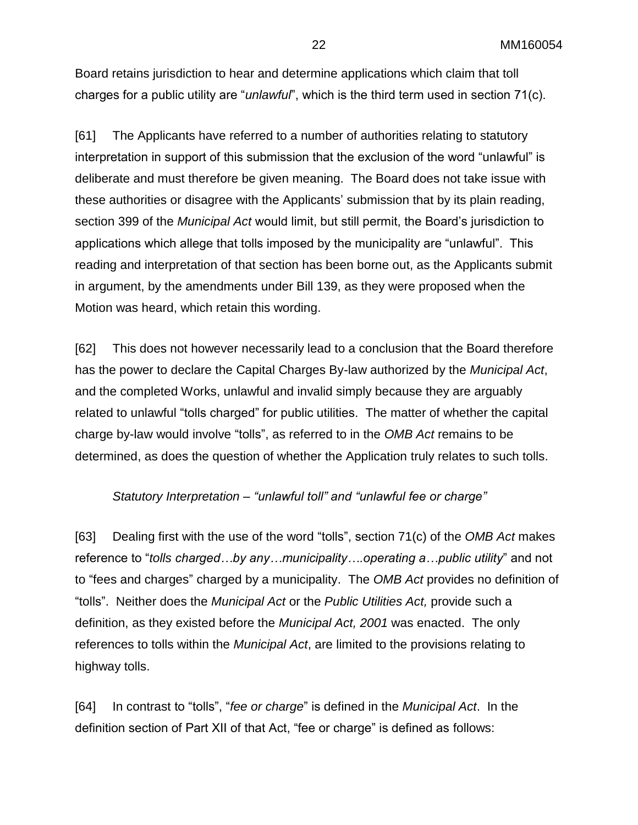Board retains jurisdiction to hear and determine applications which claim that toll charges for a public utility are "*unlawful*", which is the third term used in section 71(c).

[61] The Applicants have referred to a number of authorities relating to statutory interpretation in support of this submission that the exclusion of the word "unlawful" is deliberate and must therefore be given meaning. The Board does not take issue with these authorities or disagree with the Applicants' submission that by its plain reading, section 399 of the *Municipal Act* would limit, but still permit, the Board's jurisdiction to applications which allege that tolls imposed by the municipality are "unlawful". This reading and interpretation of that section has been borne out, as the Applicants submit in argument, by the amendments under Bill 139, as they were proposed when the Motion was heard, which retain this wording.

[62] This does not however necessarily lead to a conclusion that the Board therefore has the power to declare the Capital Charges By-law authorized by the *Municipal Act*, and the completed Works, unlawful and invalid simply because they are arguably related to unlawful "tolls charged" for public utilities. The matter of whether the capital charge by-law would involve "tolls", as referred to in the *OMB Act* remains to be determined, as does the question of whether the Application truly relates to such tolls.

### *Statutory Interpretation – "unlawful toll" and "unlawful fee or charge"*

[63] Dealing first with the use of the word "tolls", section 71(c) of the *OMB Act* makes reference to "*tolls charged…by any…municipality….operating a…public utility*" and not to "fees and charges" charged by a municipality. The *OMB Act* provides no definition of "tolls". Neither does the *Municipal Act* or the *Public Utilities Act,* provide such a definition, as they existed before the *Municipal Act, 2001* was enacted. The only references to tolls within the *Municipal Act*, are limited to the provisions relating to highway tolls.

[64] In contrast to "tolls", "*fee or charge*" is defined in the *Municipal Act*. In the definition section of Part XII of that Act, "fee or charge" is defined as follows: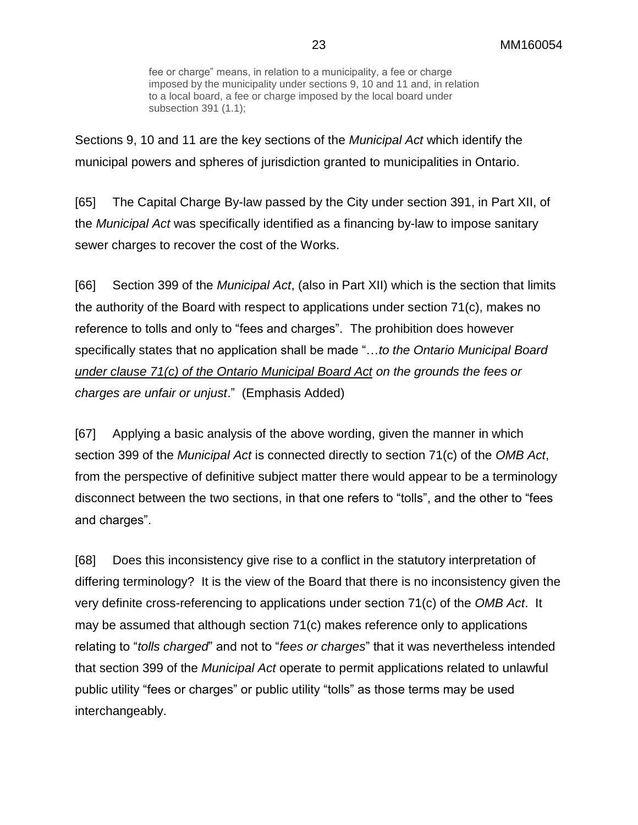fee or charge" means, in relation to a municipality, a fee or charge imposed by the municipality under sections 9, 10 and 11 and, in relation to a local board, a fee or charge imposed by the local board under subsection 391 (1.1);

Sections 9, 10 and 11 are the key sections of the *Municipal Act* which identify the municipal powers and spheres of jurisdiction granted to municipalities in Ontario.

[65] The Capital Charge By-law passed by the City under section 391, in Part XII, of the *Municipal Act* was specifically identified as a financing by-law to impose sanitary sewer charges to recover the cost of the Works.

[66] Section 399 of the *Municipal Act*, (also in Part XII) which is the section that limits the authority of the Board with respect to applications under section 71(c), makes no reference to tolls and only to "fees and charges". The prohibition does however specifically states that no application shall be made "…*to the Ontario Municipal Board under clause 71(c) of the Ontario Municipal Board Act on the grounds the fees or charges are unfair or unjust*." (Emphasis Added)

[67] Applying a basic analysis of the above wording, given the manner in which section 399 of the *Municipal Act* is connected directly to section 71(c) of the *OMB Act*, from the perspective of definitive subject matter there would appear to be a terminology disconnect between the two sections, in that one refers to "tolls", and the other to "fees and charges".

[68] Does this inconsistency give rise to a conflict in the statutory interpretation of differing terminology? It is the view of the Board that there is no inconsistency given the very definite cross-referencing to applications under section 71(c) of the *OMB Act*. It may be assumed that although section 71(c) makes reference only to applications relating to "*tolls charged*" and not to "*fees or charges*" that it was nevertheless intended that section 399 of the *Municipal Act* operate to permit applications related to unlawful public utility "fees or charges" or public utility "tolls" as those terms may be used interchangeably.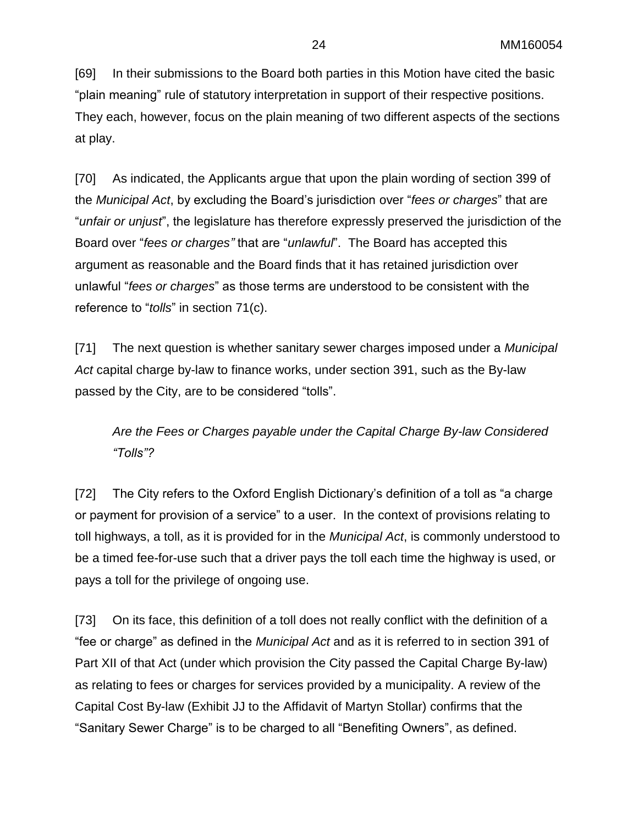[69] In their submissions to the Board both parties in this Motion have cited the basic "plain meaning" rule of statutory interpretation in support of their respective positions. They each, however, focus on the plain meaning of two different aspects of the sections at play.

[70] As indicated, the Applicants argue that upon the plain wording of section 399 of the *Municipal Act*, by excluding the Board's jurisdiction over "*fees or charges*" that are "*unfair or unjust*", the legislature has therefore expressly preserved the jurisdiction of the Board over "*fees or charges"* that are "*unlawful*". The Board has accepted this argument as reasonable and the Board finds that it has retained jurisdiction over unlawful "*fees or charges*" as those terms are understood to be consistent with the reference to "*tolls*" in section 71(c).

[71] The next question is whether sanitary sewer charges imposed under a *Municipal Act* capital charge by-law to finance works, under section 391, such as the By-law passed by the City, are to be considered "tolls".

*Are the Fees or Charges payable under the Capital Charge By-law Considered "Tolls"?*

[72] The City refers to the Oxford English Dictionary's definition of a toll as "a charge or payment for provision of a service" to a user. In the context of provisions relating to toll highways, a toll, as it is provided for in the *Municipal Act*, is commonly understood to be a timed fee-for-use such that a driver pays the toll each time the highway is used, or pays a toll for the privilege of ongoing use.

[73] On its face, this definition of a toll does not really conflict with the definition of a "fee or charge" as defined in the *Municipal Act* and as it is referred to in section 391 of Part XII of that Act (under which provision the City passed the Capital Charge By-law) as relating to fees or charges for services provided by a municipality. A review of the Capital Cost By-law (Exhibit JJ to the Affidavit of Martyn Stollar) confirms that the "Sanitary Sewer Charge" is to be charged to all "Benefiting Owners", as defined.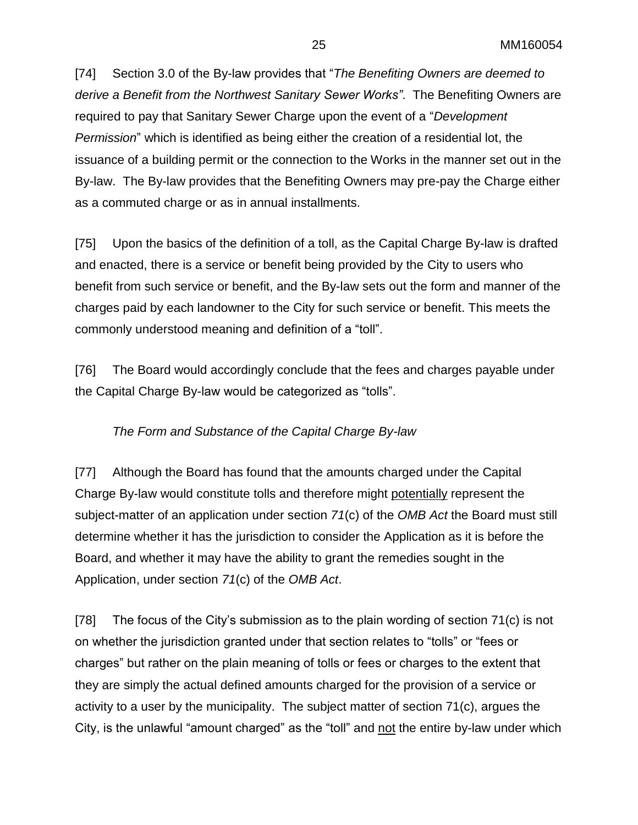[74] Section 3.0 of the By-law provides that "*The Benefiting Owners are deemed to derive a Benefit from the Northwest Sanitary Sewer Works"*. The Benefiting Owners are required to pay that Sanitary Sewer Charge upon the event of a "*Development Permission*" which is identified as being either the creation of a residential lot, the issuance of a building permit or the connection to the Works in the manner set out in the By-law. The By-law provides that the Benefiting Owners may pre-pay the Charge either as a commuted charge or as in annual installments.

[75] Upon the basics of the definition of a toll, as the Capital Charge By-law is drafted and enacted, there is a service or benefit being provided by the City to users who benefit from such service or benefit, and the By-law sets out the form and manner of the charges paid by each landowner to the City for such service or benefit. This meets the commonly understood meaning and definition of a "toll".

[76] The Board would accordingly conclude that the fees and charges payable under the Capital Charge By-law would be categorized as "tolls".

### *The Form and Substance of the Capital Charge By-law*

[77] Although the Board has found that the amounts charged under the Capital Charge By-law would constitute tolls and therefore might potentially represent the subject-matter of an application under section *71*(c) of the *OMB Act* the Board must still determine whether it has the jurisdiction to consider the Application as it is before the Board, and whether it may have the ability to grant the remedies sought in the Application, under section *71*(c) of the *OMB Act*.

[78] The focus of the City's submission as to the plain wording of section 71(c) is not on whether the jurisdiction granted under that section relates to "tolls" or "fees or charges" but rather on the plain meaning of tolls or fees or charges to the extent that they are simply the actual defined amounts charged for the provision of a service or activity to a user by the municipality. The subject matter of section 71(c), argues the City, is the unlawful "amount charged" as the "toll" and not the entire by-law under which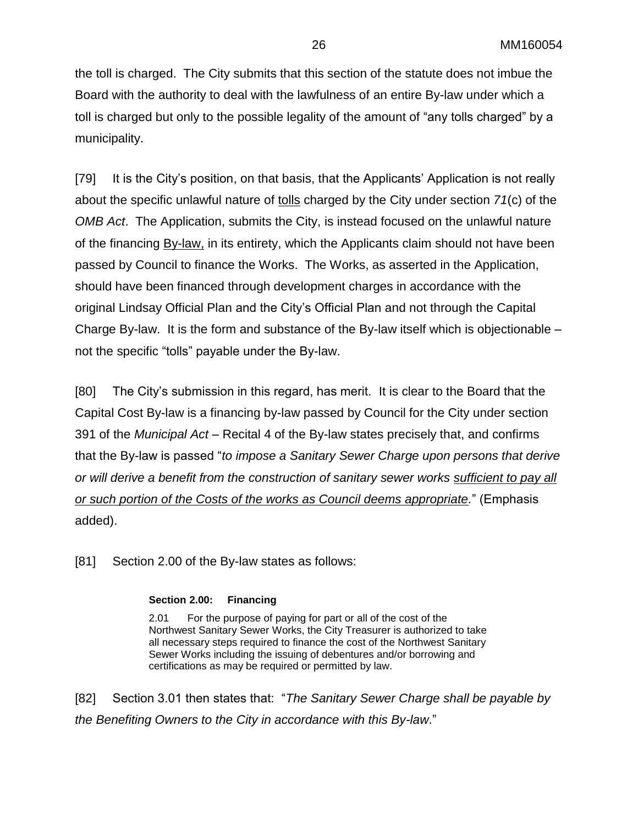the toll is charged. The City submits that this section of the statute does not imbue the Board with the authority to deal with the lawfulness of an entire By-law under which a toll is charged but only to the possible legality of the amount of "any tolls charged" by a municipality.

[79] It is the City's position, on that basis, that the Applicants' Application is not really about the specific unlawful nature of tolls charged by the City under section *71*(c) of the *OMB Act*. The Application, submits the City, is instead focused on the unlawful nature of the financing By-law, in its entirety, which the Applicants claim should not have been passed by Council to finance the Works. The Works, as asserted in the Application, should have been financed through development charges in accordance with the original Lindsay Official Plan and the City's Official Plan and not through the Capital Charge By-law. It is the form and substance of the By-law itself which is objectionable – not the specific "tolls" payable under the By-law.

[80] The City's submission in this regard, has merit. It is clear to the Board that the Capital Cost By-law is a financing by-law passed by Council for the City under section 391 of the *Municipal Act* – Recital 4 of the By-law states precisely that, and confirms that the By-law is passed "*to impose a Sanitary Sewer Charge upon persons that derive or will derive a benefit from the construction of sanitary sewer works sufficient to pay all or such portion of the Costs of the works as Council deems appropriate.*" (Emphasis added).

[81] Section 2.00 of the By-law states as follows:

#### **Section 2.00: Financing**

2.01 For the purpose of paying for part or all of the cost of the Northwest Sanitary Sewer Works, the City Treasurer is authorized to take all necessary steps required to finance the cost of the Northwest Sanitary Sewer Works including the issuing of debentures and/or borrowing and certifications as may be required or permitted by law.

[82] Section 3.01 then states that: "*The Sanitary Sewer Charge shall be payable by the Benefiting Owners to the City in accordance with this By-law*."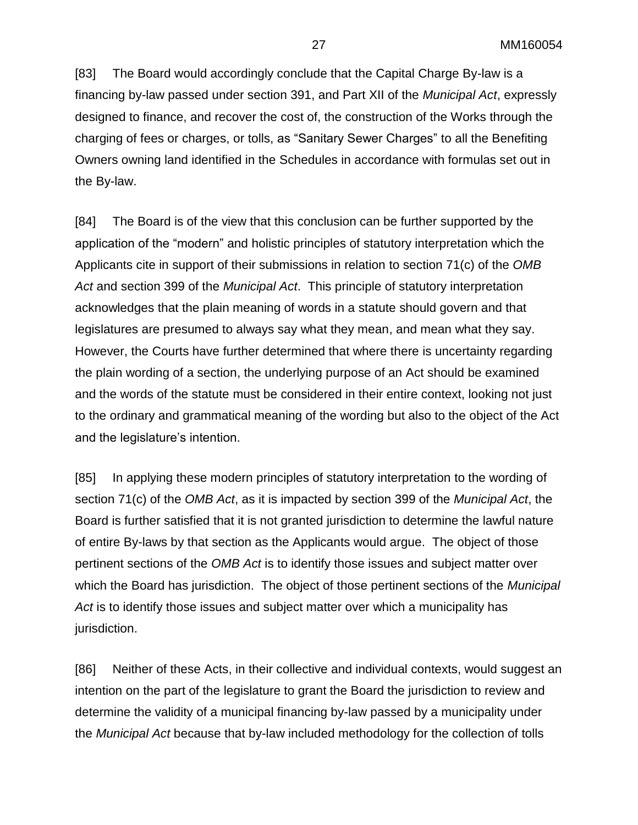[83] The Board would accordingly conclude that the Capital Charge By-law is a financing by-law passed under section 391, and Part XII of the *Municipal Act*, expressly designed to finance, and recover the cost of, the construction of the Works through the charging of fees or charges, or tolls, as "Sanitary Sewer Charges" to all the Benefiting Owners owning land identified in the Schedules in accordance with formulas set out in the By-law.

[84] The Board is of the view that this conclusion can be further supported by the application of the "modern" and holistic principles of statutory interpretation which the Applicants cite in support of their submissions in relation to section 71(c) of the *OMB Act* and section 399 of the *Municipal Act*. This principle of statutory interpretation acknowledges that the plain meaning of words in a statute should govern and that legislatures are presumed to always say what they mean, and mean what they say. However, the Courts have further determined that where there is uncertainty regarding the plain wording of a section, the underlying purpose of an Act should be examined and the words of the statute must be considered in their entire context, looking not just to the ordinary and grammatical meaning of the wording but also to the object of the Act and the legislature's intention.

[85] In applying these modern principles of statutory interpretation to the wording of section 71(c) of the *OMB Act*, as it is impacted by section 399 of the *Municipal Act*, the Board is further satisfied that it is not granted jurisdiction to determine the lawful nature of entire By-laws by that section as the Applicants would argue. The object of those pertinent sections of the *OMB Act* is to identify those issues and subject matter over which the Board has jurisdiction. The object of those pertinent sections of the *Municipal Act* is to identify those issues and subject matter over which a municipality has jurisdiction.

[86] Neither of these Acts, in their collective and individual contexts, would suggest an intention on the part of the legislature to grant the Board the jurisdiction to review and determine the validity of a municipal financing by-law passed by a municipality under the *Municipal Act* because that by-law included methodology for the collection of tolls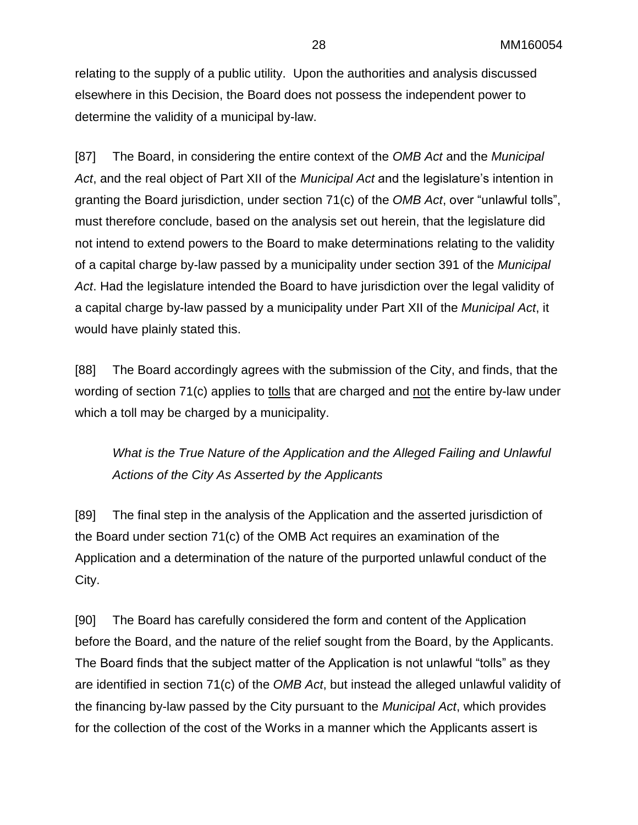relating to the supply of a public utility. Upon the authorities and analysis discussed elsewhere in this Decision, the Board does not possess the independent power to determine the validity of a municipal by-law.

[87] The Board, in considering the entire context of the *OMB Act* and the *Municipal Act*, and the real object of Part XII of the *Municipal Act* and the legislature's intention in granting the Board jurisdiction, under section 71(c) of the *OMB Act*, over "unlawful tolls", must therefore conclude, based on the analysis set out herein, that the legislature did not intend to extend powers to the Board to make determinations relating to the validity of a capital charge by-law passed by a municipality under section 391 of the *Municipal Act*. Had the legislature intended the Board to have jurisdiction over the legal validity of a capital charge by-law passed by a municipality under Part XII of the *Municipal Act*, it would have plainly stated this.

[88] The Board accordingly agrees with the submission of the City, and finds, that the wording of section 71(c) applies to tolls that are charged and not the entire by-law under which a toll may be charged by a municipality.

*What is the True Nature of the Application and the Alleged Failing and Unlawful Actions of the City As Asserted by the Applicants*

[89] The final step in the analysis of the Application and the asserted jurisdiction of the Board under section 71(c) of the OMB Act requires an examination of the Application and a determination of the nature of the purported unlawful conduct of the City.

[90] The Board has carefully considered the form and content of the Application before the Board, and the nature of the relief sought from the Board, by the Applicants. The Board finds that the subject matter of the Application is not unlawful "tolls" as they are identified in section 71(c) of the *OMB Act*, but instead the alleged unlawful validity of the financing by-law passed by the City pursuant to the *Municipal Act*, which provides for the collection of the cost of the Works in a manner which the Applicants assert is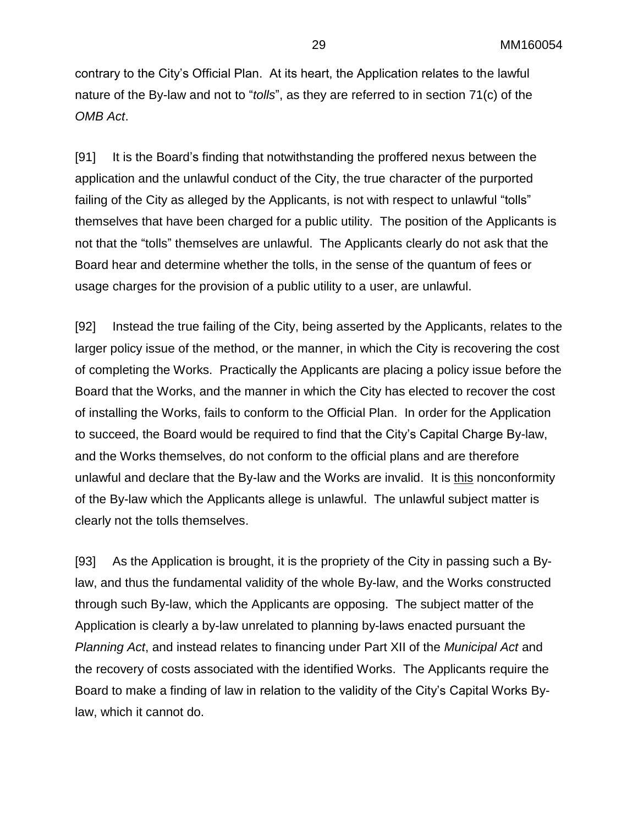contrary to the City's Official Plan. At its heart, the Application relates to the lawful nature of the By-law and not to "*tolls*", as they are referred to in section 71(c) of the *OMB Act*.

[91] It is the Board's finding that notwithstanding the proffered nexus between the application and the unlawful conduct of the City, the true character of the purported failing of the City as alleged by the Applicants, is not with respect to unlawful "tolls" themselves that have been charged for a public utility. The position of the Applicants is not that the "tolls" themselves are unlawful. The Applicants clearly do not ask that the Board hear and determine whether the tolls, in the sense of the quantum of fees or usage charges for the provision of a public utility to a user, are unlawful.

[92] Instead the true failing of the City, being asserted by the Applicants, relates to the larger policy issue of the method, or the manner, in which the City is recovering the cost of completing the Works. Practically the Applicants are placing a policy issue before the Board that the Works, and the manner in which the City has elected to recover the cost of installing the Works, fails to conform to the Official Plan. In order for the Application to succeed, the Board would be required to find that the City's Capital Charge By-law, and the Works themselves, do not conform to the official plans and are therefore unlawful and declare that the By-law and the Works are invalid. It is this nonconformity of the By-law which the Applicants allege is unlawful. The unlawful subject matter is clearly not the tolls themselves.

[93] As the Application is brought, it is the propriety of the City in passing such a Bylaw, and thus the fundamental validity of the whole By-law, and the Works constructed through such By-law, which the Applicants are opposing. The subject matter of the Application is clearly a by-law unrelated to planning by-laws enacted pursuant the *Planning Act*, and instead relates to financing under Part XII of the *Municipal Act* and the recovery of costs associated with the identified Works. The Applicants require the Board to make a finding of law in relation to the validity of the City's Capital Works Bylaw, which it cannot do.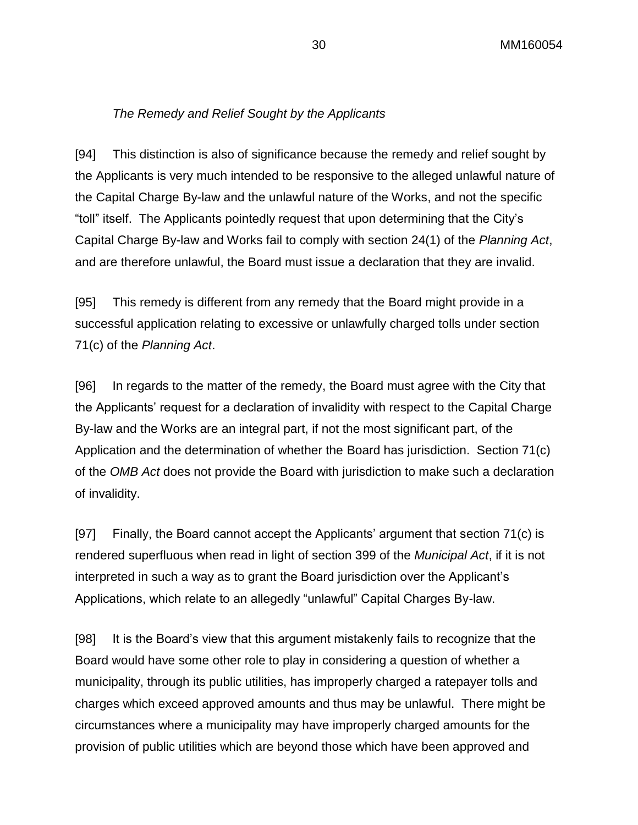### *The Remedy and Relief Sought by the Applicants*

[94] This distinction is also of significance because the remedy and relief sought by the Applicants is very much intended to be responsive to the alleged unlawful nature of the Capital Charge By-law and the unlawful nature of the Works, and not the specific "toll" itself. The Applicants pointedly request that upon determining that the City's Capital Charge By-law and Works fail to comply with section 24(1) of the *Planning Act*, and are therefore unlawful, the Board must issue a declaration that they are invalid.

[95] This remedy is different from any remedy that the Board might provide in a successful application relating to excessive or unlawfully charged tolls under section 71(c) of the *Planning Act*.

[96] In regards to the matter of the remedy, the Board must agree with the City that the Applicants' request for a declaration of invalidity with respect to the Capital Charge By-law and the Works are an integral part, if not the most significant part, of the Application and the determination of whether the Board has jurisdiction. Section 71(c) of the *OMB Act* does not provide the Board with jurisdiction to make such a declaration of invalidity.

[97] Finally, the Board cannot accept the Applicants' argument that section  $71(c)$  is rendered superfluous when read in light of section 399 of the *Municipal Act*, if it is not interpreted in such a way as to grant the Board jurisdiction over the Applicant's Applications, which relate to an allegedly "unlawful" Capital Charges By-law.

[98] It is the Board's view that this argument mistakenly fails to recognize that the Board would have some other role to play in considering a question of whether a municipality, through its public utilities, has improperly charged a ratepayer tolls and charges which exceed approved amounts and thus may be unlawful. There might be circumstances where a municipality may have improperly charged amounts for the provision of public utilities which are beyond those which have been approved and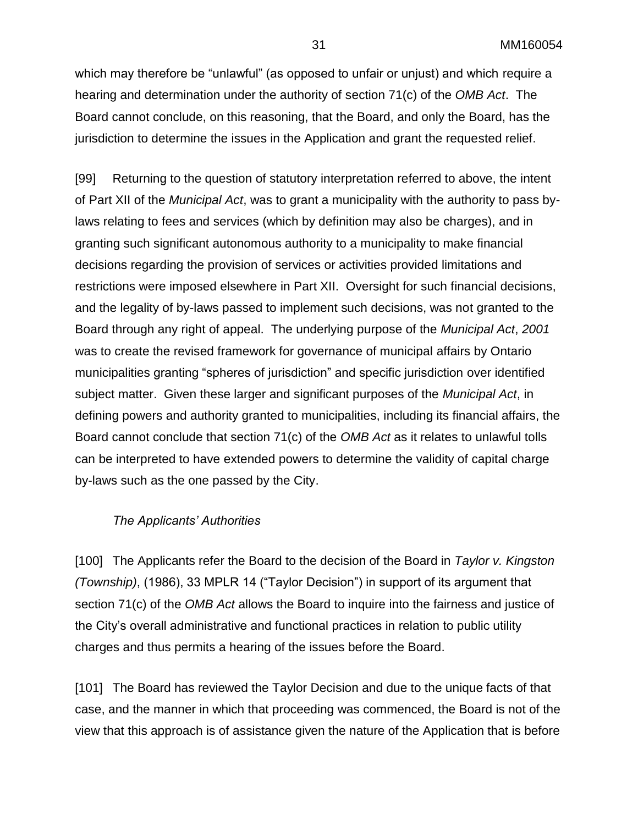which may therefore be "unlawful" (as opposed to unfair or unjust) and which require a hearing and determination under the authority of section 71(c) of the *OMB Act*. The Board cannot conclude, on this reasoning, that the Board, and only the Board, has the jurisdiction to determine the issues in the Application and grant the requested relief.

[99] Returning to the question of statutory interpretation referred to above, the intent of Part XII of the *Municipal Act*, was to grant a municipality with the authority to pass bylaws relating to fees and services (which by definition may also be charges), and in granting such significant autonomous authority to a municipality to make financial decisions regarding the provision of services or activities provided limitations and restrictions were imposed elsewhere in Part XII. Oversight for such financial decisions, and the legality of by-laws passed to implement such decisions, was not granted to the Board through any right of appeal. The underlying purpose of the *Municipal Act*, *2001* was to create the revised framework for governance of municipal affairs by Ontario municipalities granting "spheres of jurisdiction" and specific jurisdiction over identified subject matter. Given these larger and significant purposes of the *Municipal Act*, in defining powers and authority granted to municipalities, including its financial affairs, the Board cannot conclude that section 71(c) of the *OMB Act* as it relates to unlawful tolls can be interpreted to have extended powers to determine the validity of capital charge by-laws such as the one passed by the City.

### *The Applicants' Authorities*

[100] The Applicants refer the Board to the decision of the Board in *Taylor v. Kingston (Township)*, (1986), 33 MPLR 14 ("Taylor Decision") in support of its argument that section 71(c) of the *OMB Act* allows the Board to inquire into the fairness and justice of the City's overall administrative and functional practices in relation to public utility charges and thus permits a hearing of the issues before the Board.

[101] The Board has reviewed the Taylor Decision and due to the unique facts of that case, and the manner in which that proceeding was commenced, the Board is not of the view that this approach is of assistance given the nature of the Application that is before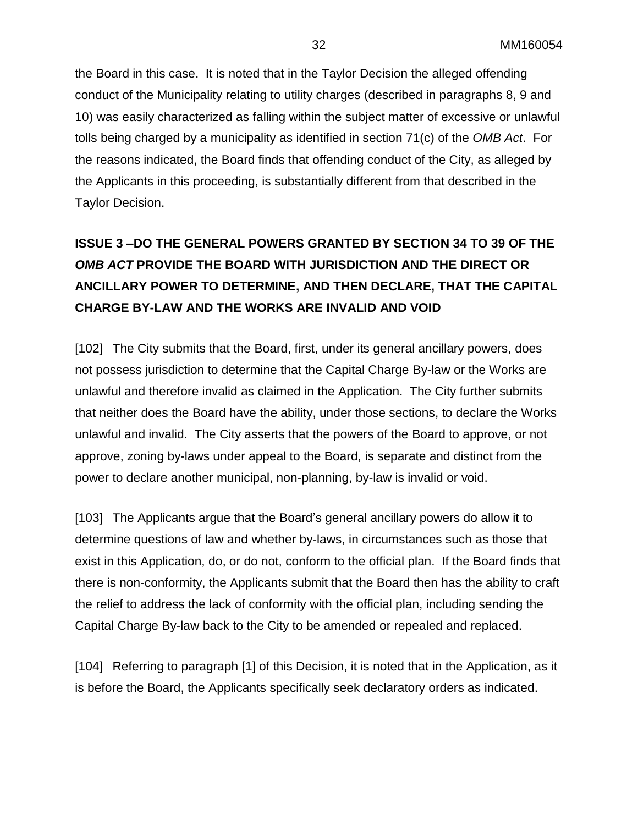the Board in this case. It is noted that in the Taylor Decision the alleged offending conduct of the Municipality relating to utility charges (described in paragraphs 8, 9 and 10) was easily characterized as falling within the subject matter of excessive or unlawful tolls being charged by a municipality as identified in section 71(c) of the *OMB Act*. For the reasons indicated, the Board finds that offending conduct of the City, as alleged by the Applicants in this proceeding, is substantially different from that described in the Taylor Decision.

# **ISSUE 3 –DO THE GENERAL POWERS GRANTED BY SECTION 34 TO 39 OF THE**  *OMB ACT* **PROVIDE THE BOARD WITH JURISDICTION AND THE DIRECT OR ANCILLARY POWER TO DETERMINE, AND THEN DECLARE, THAT THE CAPITAL CHARGE BY-LAW AND THE WORKS ARE INVALID AND VOID**

[102] The City submits that the Board, first, under its general ancillary powers, does not possess jurisdiction to determine that the Capital Charge By-law or the Works are unlawful and therefore invalid as claimed in the Application. The City further submits that neither does the Board have the ability, under those sections, to declare the Works unlawful and invalid. The City asserts that the powers of the Board to approve, or not approve, zoning by-laws under appeal to the Board, is separate and distinct from the power to declare another municipal, non-planning, by-law is invalid or void.

[103] The Applicants argue that the Board's general ancillary powers do allow it to determine questions of law and whether by-laws, in circumstances such as those that exist in this Application, do, or do not, conform to the official plan. If the Board finds that there is non-conformity, the Applicants submit that the Board then has the ability to craft the relief to address the lack of conformity with the official plan, including sending the Capital Charge By-law back to the City to be amended or repealed and replaced.

[104] Referring to paragraph [1] of this Decision, it is noted that in the Application, as it is before the Board, the Applicants specifically seek declaratory orders as indicated.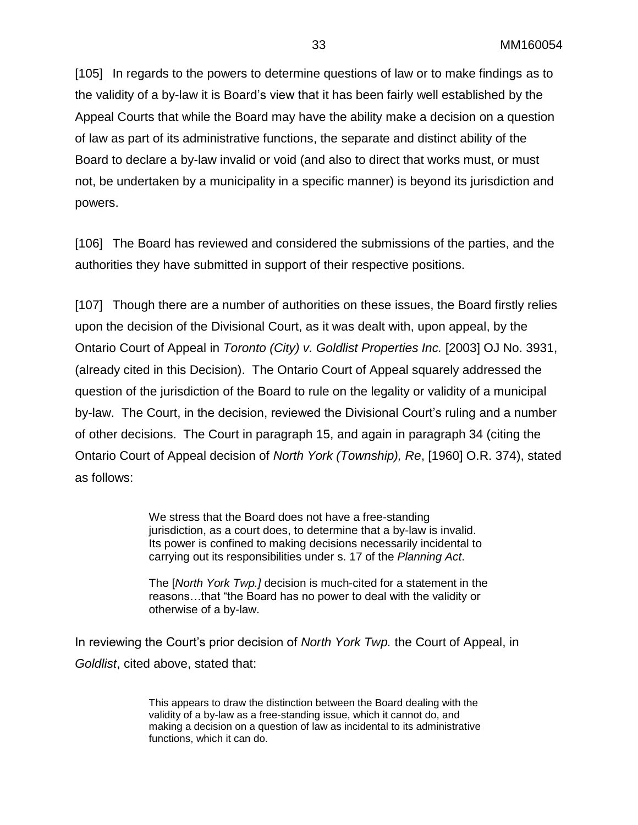[105] In regards to the powers to determine questions of law or to make findings as to the validity of a by-law it is Board's view that it has been fairly well established by the Appeal Courts that while the Board may have the ability make a decision on a question of law as part of its administrative functions, the separate and distinct ability of the Board to declare a by-law invalid or void (and also to direct that works must, or must not, be undertaken by a municipality in a specific manner) is beyond its jurisdiction and powers.

[106] The Board has reviewed and considered the submissions of the parties, and the authorities they have submitted in support of their respective positions.

[107] Though there are a number of authorities on these issues, the Board firstly relies upon the decision of the Divisional Court, as it was dealt with, upon appeal, by the Ontario Court of Appeal in *Toronto (City) v. Goldlist Properties Inc.* [2003] OJ No. 3931, (already cited in this Decision). The Ontario Court of Appeal squarely addressed the question of the jurisdiction of the Board to rule on the legality or validity of a municipal by-law. The Court, in the decision, reviewed the Divisional Court's ruling and a number of other decisions. The Court in paragraph 15, and again in paragraph 34 (citing the Ontario Court of Appeal decision of *North York (Township), Re*, [1960] O.R. 374), stated as follows:

> We stress that the Board does not have a free-standing jurisdiction, as a court does, to determine that a by-law is invalid. Its power is confined to making decisions necessarily incidental to carrying out its responsibilities under s. 17 of the *Planning Act*.

The [*North York Twp.]* decision is much-cited for a statement in the reasons…that "the Board has no power to deal with the validity or otherwise of a by-law.

In reviewing the Court's prior decision of *North York Twp.* the Court of Appeal, in *Goldlist*, cited above, stated that:

> This appears to draw the distinction between the Board dealing with the validity of a by-law as a free-standing issue, which it cannot do, and making a decision on a question of law as incidental to its administrative functions, which it can do.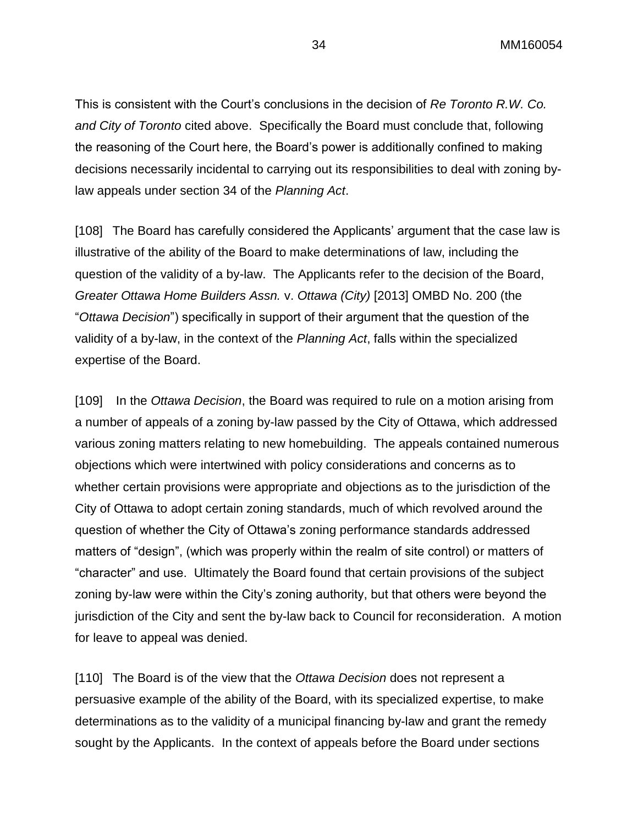This is consistent with the Court's conclusions in the decision of *Re Toronto R.W. Co. and City of Toronto* cited above. Specifically the Board must conclude that, following the reasoning of the Court here, the Board's power is additionally confined to making decisions necessarily incidental to carrying out its responsibilities to deal with zoning bylaw appeals under section 34 of the *Planning Act*.

[108] The Board has carefully considered the Applicants' argument that the case law is illustrative of the ability of the Board to make determinations of law, including the question of the validity of a by-law. The Applicants refer to the decision of the Board, *Greater Ottawa Home Builders Assn.* v. *Ottawa (City)* [2013] OMBD No. 200 (the "*Ottawa Decision*") specifically in support of their argument that the question of the validity of a by-law, in the context of the *Planning Act*, falls within the specialized expertise of the Board.

[109] In the *Ottawa Decision*, the Board was required to rule on a motion arising from a number of appeals of a zoning by-law passed by the City of Ottawa, which addressed various zoning matters relating to new homebuilding. The appeals contained numerous objections which were intertwined with policy considerations and concerns as to whether certain provisions were appropriate and objections as to the jurisdiction of the City of Ottawa to adopt certain zoning standards, much of which revolved around the question of whether the City of Ottawa's zoning performance standards addressed matters of "design", (which was properly within the realm of site control) or matters of "character" and use. Ultimately the Board found that certain provisions of the subject zoning by-law were within the City's zoning authority, but that others were beyond the jurisdiction of the City and sent the by-law back to Council for reconsideration. A motion for leave to appeal was denied.

[110] The Board is of the view that the *Ottawa Decision* does not represent a persuasive example of the ability of the Board, with its specialized expertise, to make determinations as to the validity of a municipal financing by-law and grant the remedy sought by the Applicants. In the context of appeals before the Board under sections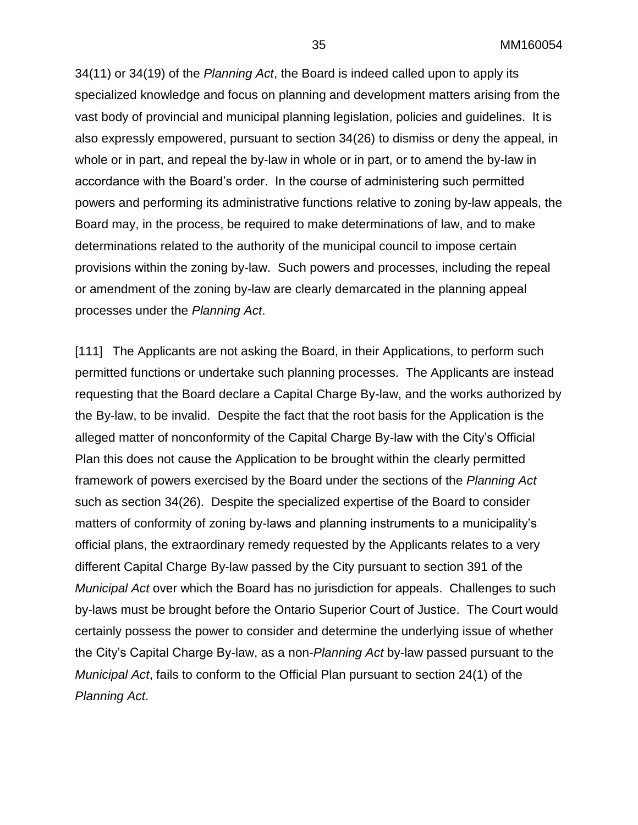34(11) or 34(19) of the *Planning Act*, the Board is indeed called upon to apply its specialized knowledge and focus on planning and development matters arising from the vast body of provincial and municipal planning legislation, policies and guidelines. It is also expressly empowered, pursuant to section 34(26) to dismiss or deny the appeal, in whole or in part, and repeal the by-law in whole or in part, or to amend the by-law in accordance with the Board's order. In the course of administering such permitted powers and performing its administrative functions relative to zoning by-law appeals, the Board may, in the process, be required to make determinations of law, and to make determinations related to the authority of the municipal council to impose certain provisions within the zoning by-law. Such powers and processes, including the repeal or amendment of the zoning by-law are clearly demarcated in the planning appeal processes under the *Planning Act*.

[111] The Applicants are not asking the Board, in their Applications, to perform such permitted functions or undertake such planning processes. The Applicants are instead requesting that the Board declare a Capital Charge By-law, and the works authorized by the By-law, to be invalid. Despite the fact that the root basis for the Application is the alleged matter of nonconformity of the Capital Charge By-law with the City's Official Plan this does not cause the Application to be brought within the clearly permitted framework of powers exercised by the Board under the sections of the *Planning Act* such as section 34(26). Despite the specialized expertise of the Board to consider matters of conformity of zoning by-laws and planning instruments to a municipality's official plans, the extraordinary remedy requested by the Applicants relates to a very different Capital Charge By-law passed by the City pursuant to section 391 of the *Municipal Act* over which the Board has no jurisdiction for appeals. Challenges to such by-laws must be brought before the Ontario Superior Court of Justice. The Court would certainly possess the power to consider and determine the underlying issue of whether the City's Capital Charge By-law, as a non-*Planning Act* by-law passed pursuant to the *Municipal Act*, fails to conform to the Official Plan pursuant to section 24(1) of the *Planning Act*.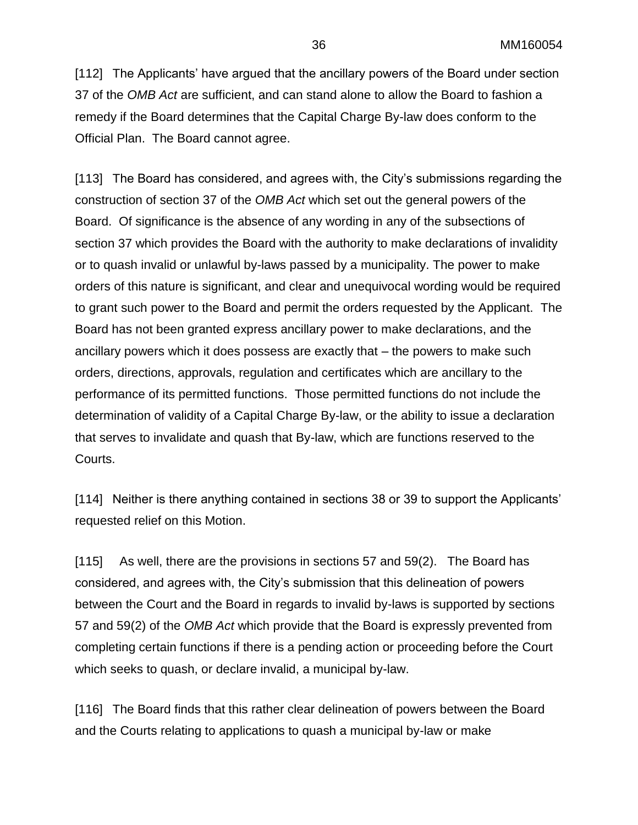[112] The Applicants' have argued that the ancillary powers of the Board under section 37 of the *OMB Act* are sufficient, and can stand alone to allow the Board to fashion a remedy if the Board determines that the Capital Charge By-law does conform to the Official Plan. The Board cannot agree.

[113] The Board has considered, and agrees with, the City's submissions regarding the construction of section 37 of the *OMB Act* which set out the general powers of the Board. Of significance is the absence of any wording in any of the subsections of section 37 which provides the Board with the authority to make declarations of invalidity or to quash invalid or unlawful by-laws passed by a municipality. The power to make orders of this nature is significant, and clear and unequivocal wording would be required to grant such power to the Board and permit the orders requested by the Applicant. The Board has not been granted express ancillary power to make declarations, and the ancillary powers which it does possess are exactly that – the powers to make such orders, directions, approvals, regulation and certificates which are ancillary to the performance of its permitted functions. Those permitted functions do not include the determination of validity of a Capital Charge By-law, or the ability to issue a declaration that serves to invalidate and quash that By-law, which are functions reserved to the Courts.

[114] Neither is there anything contained in sections 38 or 39 to support the Applicants' requested relief on this Motion.

[115] As well, there are the provisions in sections 57 and 59(2). The Board has considered, and agrees with, the City's submission that this delineation of powers between the Court and the Board in regards to invalid by-laws is supported by sections 57 and 59(2) of the *OMB Act* which provide that the Board is expressly prevented from completing certain functions if there is a pending action or proceeding before the Court which seeks to quash, or declare invalid, a municipal by-law.

[116] The Board finds that this rather clear delineation of powers between the Board and the Courts relating to applications to quash a municipal by-law or make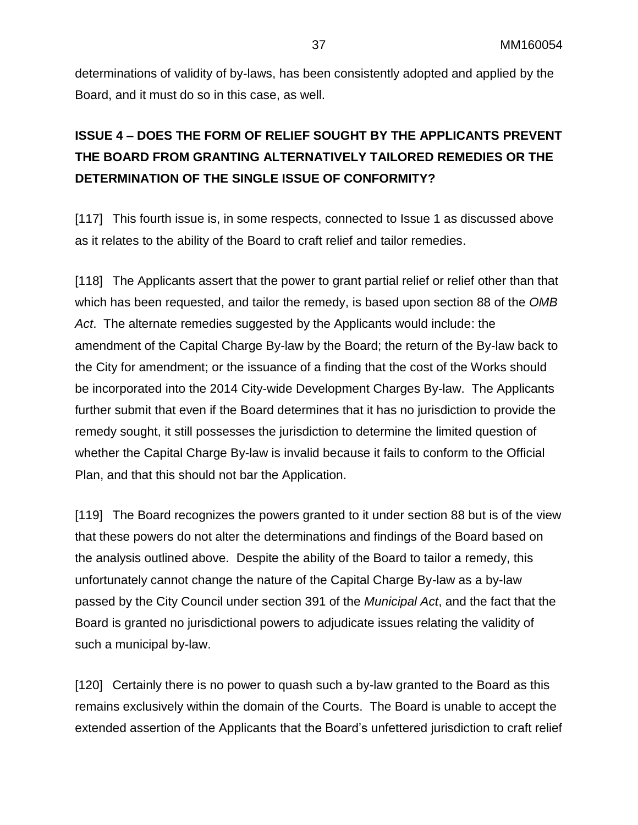determinations of validity of by-laws, has been consistently adopted and applied by the Board, and it must do so in this case, as well.

## **ISSUE 4 – DOES THE FORM OF RELIEF SOUGHT BY THE APPLICANTS PREVENT THE BOARD FROM GRANTING ALTERNATIVELY TAILORED REMEDIES OR THE DETERMINATION OF THE SINGLE ISSUE OF CONFORMITY?**

[117] This fourth issue is, in some respects, connected to Issue 1 as discussed above as it relates to the ability of the Board to craft relief and tailor remedies.

[118] The Applicants assert that the power to grant partial relief or relief other than that which has been requested, and tailor the remedy, is based upon section 88 of the *OMB Act*. The alternate remedies suggested by the Applicants would include: the amendment of the Capital Charge By-law by the Board; the return of the By-law back to the City for amendment; or the issuance of a finding that the cost of the Works should be incorporated into the 2014 City-wide Development Charges By-law. The Applicants further submit that even if the Board determines that it has no jurisdiction to provide the remedy sought, it still possesses the jurisdiction to determine the limited question of whether the Capital Charge By-law is invalid because it fails to conform to the Official Plan, and that this should not bar the Application.

[119] The Board recognizes the powers granted to it under section 88 but is of the view that these powers do not alter the determinations and findings of the Board based on the analysis outlined above. Despite the ability of the Board to tailor a remedy, this unfortunately cannot change the nature of the Capital Charge By-law as a by-law passed by the City Council under section 391 of the *Municipal Act*, and the fact that the Board is granted no jurisdictional powers to adjudicate issues relating the validity of such a municipal by-law.

[120] Certainly there is no power to quash such a by-law granted to the Board as this remains exclusively within the domain of the Courts. The Board is unable to accept the extended assertion of the Applicants that the Board's unfettered jurisdiction to craft relief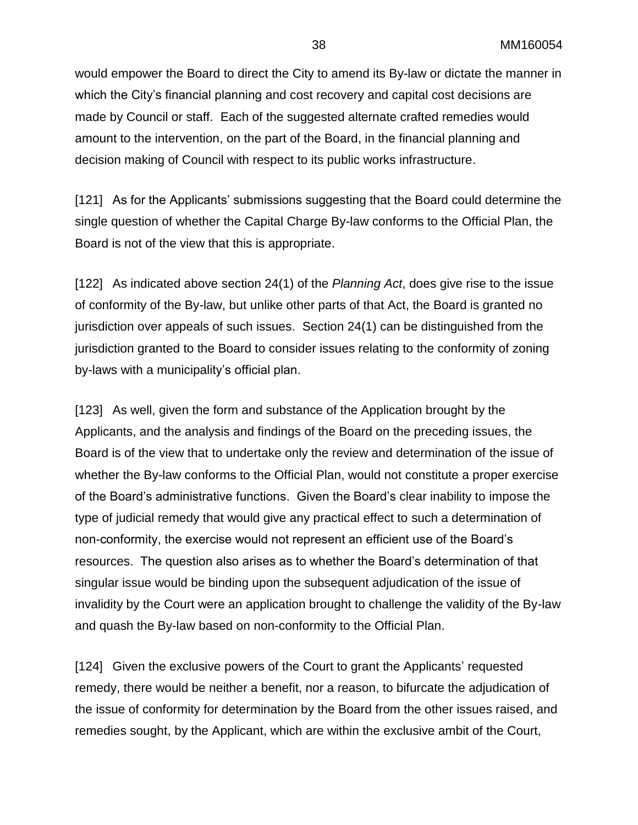would empower the Board to direct the City to amend its By-law or dictate the manner in which the City's financial planning and cost recovery and capital cost decisions are made by Council or staff. Each of the suggested alternate crafted remedies would amount to the intervention, on the part of the Board, in the financial planning and decision making of Council with respect to its public works infrastructure.

[121] As for the Applicants' submissions suggesting that the Board could determine the single question of whether the Capital Charge By-law conforms to the Official Plan, the Board is not of the view that this is appropriate.

[122] As indicated above section 24(1) of the *Planning Act*, does give rise to the issue of conformity of the By-law, but unlike other parts of that Act, the Board is granted no jurisdiction over appeals of such issues. Section 24(1) can be distinguished from the jurisdiction granted to the Board to consider issues relating to the conformity of zoning by-laws with a municipality's official plan.

[123] As well, given the form and substance of the Application brought by the Applicants, and the analysis and findings of the Board on the preceding issues, the Board is of the view that to undertake only the review and determination of the issue of whether the By-law conforms to the Official Plan, would not constitute a proper exercise of the Board's administrative functions. Given the Board's clear inability to impose the type of judicial remedy that would give any practical effect to such a determination of non-conformity, the exercise would not represent an efficient use of the Board's resources. The question also arises as to whether the Board's determination of that singular issue would be binding upon the subsequent adjudication of the issue of invalidity by the Court were an application brought to challenge the validity of the By-law and quash the By-law based on non-conformity to the Official Plan.

[124] Given the exclusive powers of the Court to grant the Applicants' requested remedy, there would be neither a benefit, nor a reason, to bifurcate the adjudication of the issue of conformity for determination by the Board from the other issues raised, and remedies sought, by the Applicant, which are within the exclusive ambit of the Court,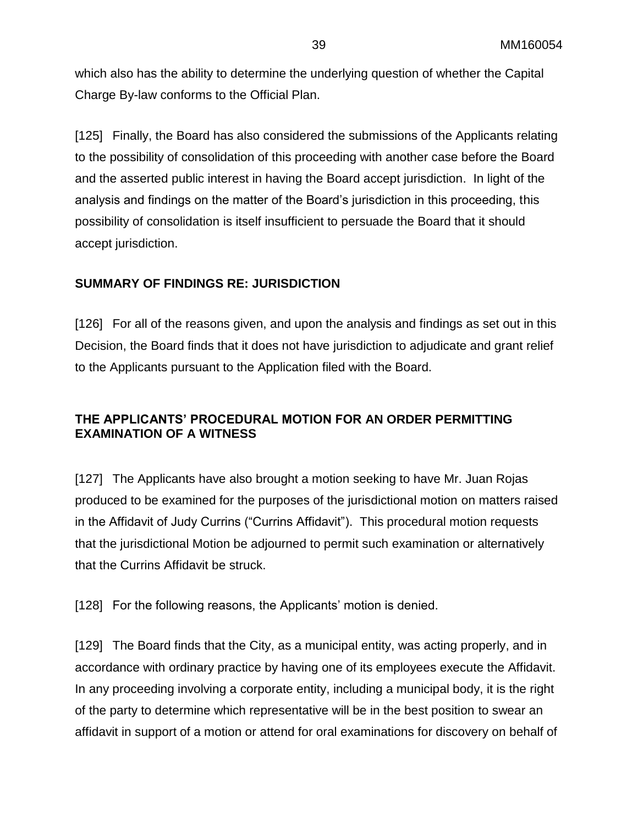which also has the ability to determine the underlying question of whether the Capital Charge By-law conforms to the Official Plan.

[125] Finally, the Board has also considered the submissions of the Applicants relating to the possibility of consolidation of this proceeding with another case before the Board and the asserted public interest in having the Board accept jurisdiction. In light of the analysis and findings on the matter of the Board's jurisdiction in this proceeding, this possibility of consolidation is itself insufficient to persuade the Board that it should accept jurisdiction.

### **SUMMARY OF FINDINGS RE: JURISDICTION**

[126] For all of the reasons given, and upon the analysis and findings as set out in this Decision, the Board finds that it does not have jurisdiction to adjudicate and grant relief to the Applicants pursuant to the Application filed with the Board.

### **THE APPLICANTS' PROCEDURAL MOTION FOR AN ORDER PERMITTING EXAMINATION OF A WITNESS**

[127] The Applicants have also brought a motion seeking to have Mr. Juan Rojas produced to be examined for the purposes of the jurisdictional motion on matters raised in the Affidavit of Judy Currins ("Currins Affidavit"). This procedural motion requests that the jurisdictional Motion be adjourned to permit such examination or alternatively that the Currins Affidavit be struck.

[128] For the following reasons, the Applicants' motion is denied.

[129] The Board finds that the City, as a municipal entity, was acting properly, and in accordance with ordinary practice by having one of its employees execute the Affidavit. In any proceeding involving a corporate entity, including a municipal body, it is the right of the party to determine which representative will be in the best position to swear an affidavit in support of a motion or attend for oral examinations for discovery on behalf of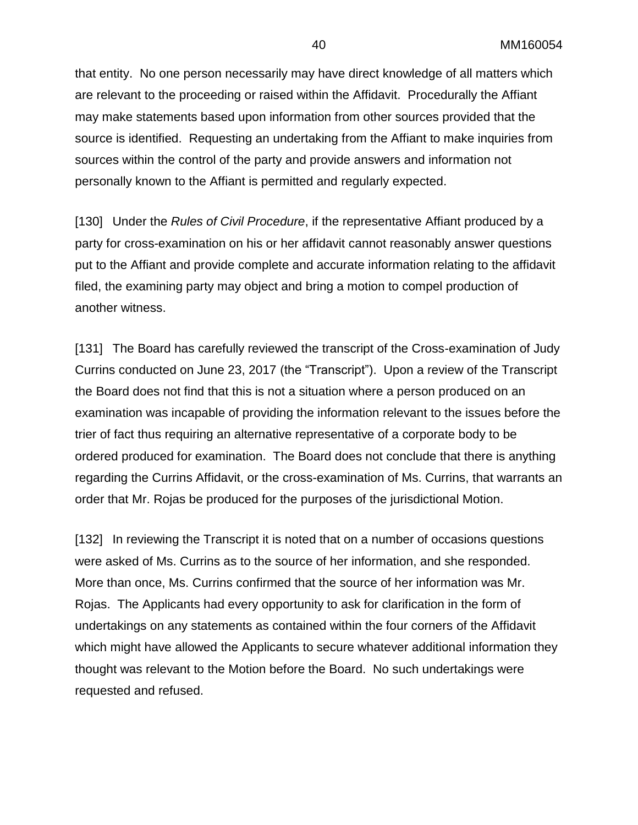that entity. No one person necessarily may have direct knowledge of all matters which are relevant to the proceeding or raised within the Affidavit. Procedurally the Affiant may make statements based upon information from other sources provided that the source is identified. Requesting an undertaking from the Affiant to make inquiries from sources within the control of the party and provide answers and information not personally known to the Affiant is permitted and regularly expected.

[130] Under the *Rules of Civil Procedure*, if the representative Affiant produced by a party for cross-examination on his or her affidavit cannot reasonably answer questions put to the Affiant and provide complete and accurate information relating to the affidavit filed, the examining party may object and bring a motion to compel production of another witness.

[131] The Board has carefully reviewed the transcript of the Cross-examination of Judy Currins conducted on June 23, 2017 (the "Transcript"). Upon a review of the Transcript the Board does not find that this is not a situation where a person produced on an examination was incapable of providing the information relevant to the issues before the trier of fact thus requiring an alternative representative of a corporate body to be ordered produced for examination. The Board does not conclude that there is anything regarding the Currins Affidavit, or the cross-examination of Ms. Currins, that warrants an order that Mr. Rojas be produced for the purposes of the jurisdictional Motion.

[132] In reviewing the Transcript it is noted that on a number of occasions questions were asked of Ms. Currins as to the source of her information, and she responded. More than once, Ms. Currins confirmed that the source of her information was Mr. Rojas. The Applicants had every opportunity to ask for clarification in the form of undertakings on any statements as contained within the four corners of the Affidavit which might have allowed the Applicants to secure whatever additional information they thought was relevant to the Motion before the Board. No such undertakings were requested and refused.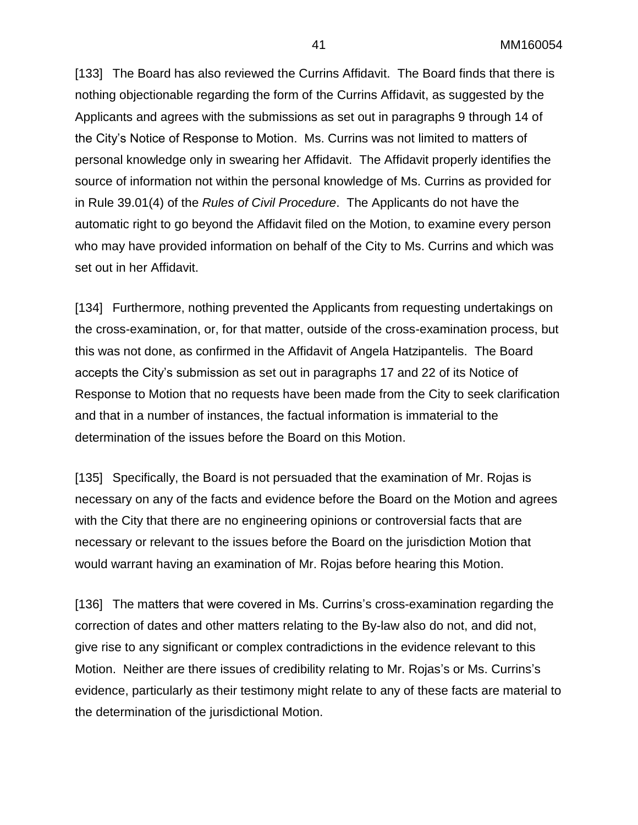[133] The Board has also reviewed the Currins Affidavit. The Board finds that there is nothing objectionable regarding the form of the Currins Affidavit, as suggested by the Applicants and agrees with the submissions as set out in paragraphs 9 through 14 of the City's Notice of Response to Motion. Ms. Currins was not limited to matters of personal knowledge only in swearing her Affidavit. The Affidavit properly identifies the source of information not within the personal knowledge of Ms. Currins as provided for in Rule 39.01(4) of the *Rules of Civil Procedure*. The Applicants do not have the automatic right to go beyond the Affidavit filed on the Motion, to examine every person who may have provided information on behalf of the City to Ms. Currins and which was set out in her Affidavit.

[134] Furthermore, nothing prevented the Applicants from requesting undertakings on the cross-examination, or, for that matter, outside of the cross-examination process, but this was not done, as confirmed in the Affidavit of Angela Hatzipantelis. The Board accepts the City's submission as set out in paragraphs 17 and 22 of its Notice of Response to Motion that no requests have been made from the City to seek clarification and that in a number of instances, the factual information is immaterial to the determination of the issues before the Board on this Motion.

[135] Specifically, the Board is not persuaded that the examination of Mr. Rojas is necessary on any of the facts and evidence before the Board on the Motion and agrees with the City that there are no engineering opinions or controversial facts that are necessary or relevant to the issues before the Board on the jurisdiction Motion that would warrant having an examination of Mr. Rojas before hearing this Motion.

[136] The matters that were covered in Ms. Currins's cross-examination regarding the correction of dates and other matters relating to the By-law also do not, and did not, give rise to any significant or complex contradictions in the evidence relevant to this Motion. Neither are there issues of credibility relating to Mr. Rojas's or Ms. Currins's evidence, particularly as their testimony might relate to any of these facts are material to the determination of the jurisdictional Motion.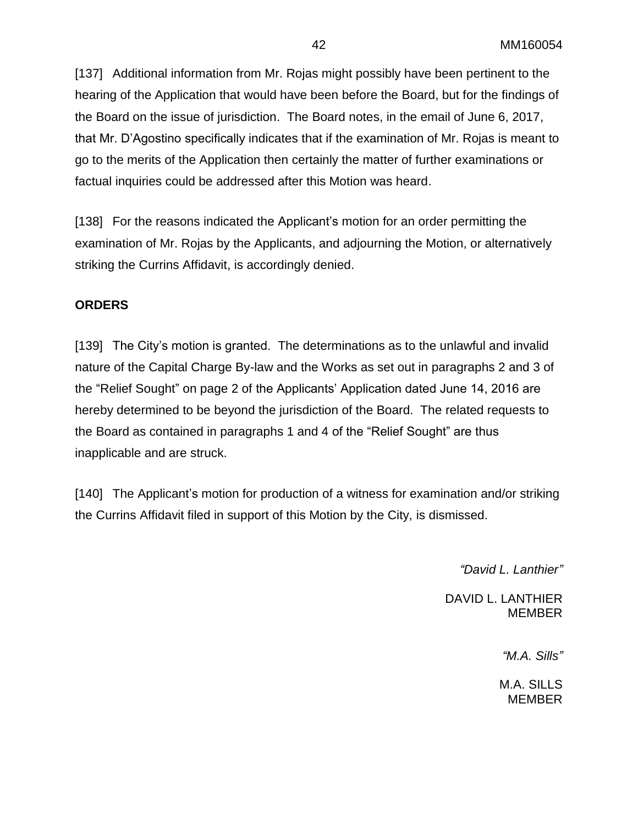[137] Additional information from Mr. Rojas might possibly have been pertinent to the hearing of the Application that would have been before the Board, but for the findings of the Board on the issue of jurisdiction. The Board notes, in the email of June 6, 2017, that Mr. D'Agostino specifically indicates that if the examination of Mr. Rojas is meant to go to the merits of the Application then certainly the matter of further examinations or factual inquiries could be addressed after this Motion was heard.

[138] For the reasons indicated the Applicant's motion for an order permitting the examination of Mr. Rojas by the Applicants, and adjourning the Motion, or alternatively striking the Currins Affidavit, is accordingly denied.

### **ORDERS**

[139] The City's motion is granted. The determinations as to the unlawful and invalid nature of the Capital Charge By-law and the Works as set out in paragraphs 2 and 3 of the "Relief Sought" on page 2 of the Applicants' Application dated June 14, 2016 are hereby determined to be beyond the jurisdiction of the Board. The related requests to the Board as contained in paragraphs 1 and 4 of the "Relief Sought" are thus inapplicable and are struck.

[140] The Applicant's motion for production of a witness for examination and/or striking the Currins Affidavit filed in support of this Motion by the City, is dismissed.

*"David L. Lanthier"*

DAVID L. LANTHIER MEMBER

*"M.A. Sills"*

M.A. SILLS MEMBER